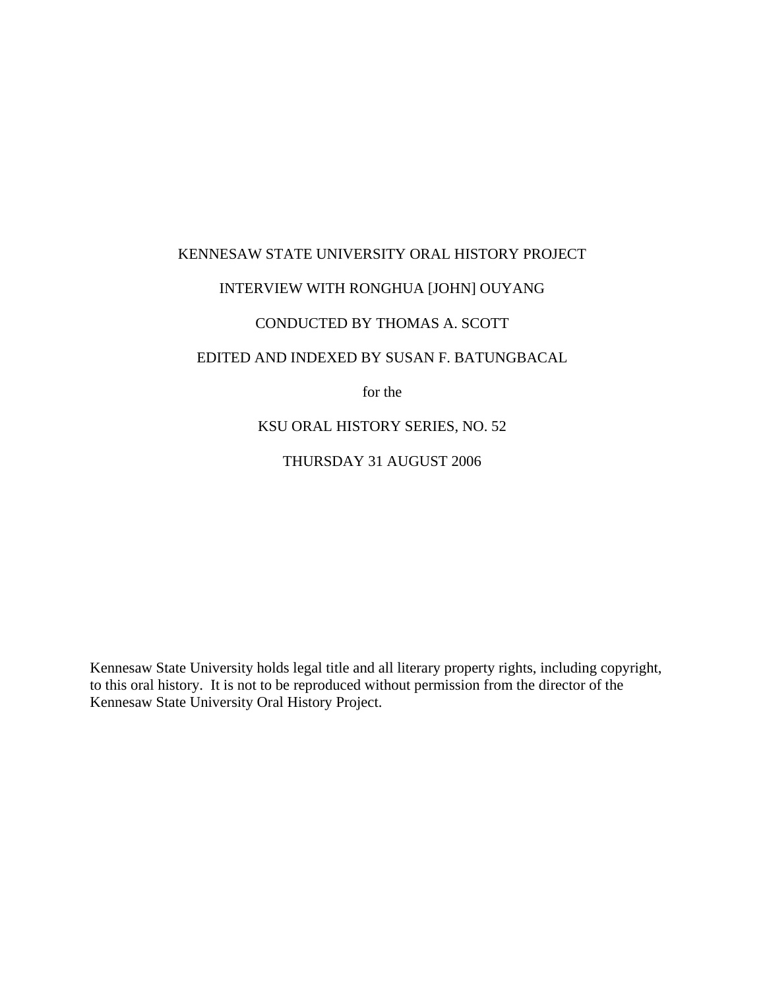## KENNESAW STATE UNIVERSITY ORAL HISTORY PROJECT INTERVIEW WITH RONGHUA [JOHN] OUYANG CONDUCTED BY THOMAS A. SCOTT EDITED AND INDEXED BY SUSAN F. BATUNGBACAL for the KSU ORAL HISTORY SERIES, NO. 52

THURSDAY 31 AUGUST 2006

Kennesaw State University holds legal title and all literary property rights, including copyright, to this oral history. It is not to be reproduced without permission from the director of the Kennesaw State University Oral History Project.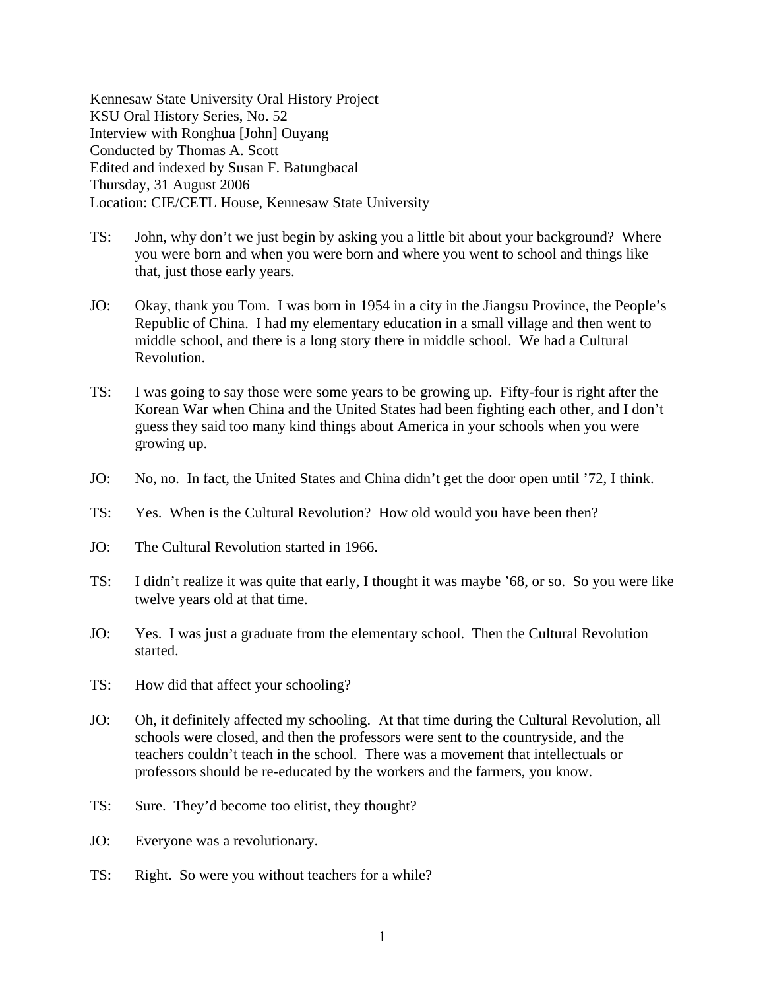Kennesaw State University Oral History Project KSU Oral History Series, No. 52 Interview with Ronghua [John] Ouyang Conducted by Thomas A. Scott Edited and indexed by Susan F. Batungbacal Thursday, 31 August 2006 Location: CIE/CETL House, Kennesaw State University

- TS: John, why don't we just begin by asking you a little bit about your background? Where you were born and when you were born and where you went to school and things like that, just those early years.
- JO: Okay, thank you Tom. I was born in 1954 in a city in the Jiangsu Province, the People's Republic of China. I had my elementary education in a small village and then went to middle school, and there is a long story there in middle school. We had a Cultural Revolution.
- TS: I was going to say those were some years to be growing up. Fifty-four is right after the Korean War when China and the United States had been fighting each other, and I don't guess they said too many kind things about America in your schools when you were growing up.
- JO: No, no. In fact, the United States and China didn't get the door open until '72, I think.
- TS: Yes. When is the Cultural Revolution? How old would you have been then?
- JO: The Cultural Revolution started in 1966.
- TS: I didn't realize it was quite that early, I thought it was maybe '68, or so. So you were like twelve years old at that time.
- JO: Yes. I was just a graduate from the elementary school. Then the Cultural Revolution started.
- TS: How did that affect your schooling?
- JO: Oh, it definitely affected my schooling. At that time during the Cultural Revolution, all schools were closed, and then the professors were sent to the countryside, and the teachers couldn't teach in the school. There was a movement that intellectuals or professors should be re-educated by the workers and the farmers, you know.
- TS: Sure. They'd become too elitist, they thought?
- JO: Everyone was a revolutionary.
- TS: Right. So were you without teachers for a while?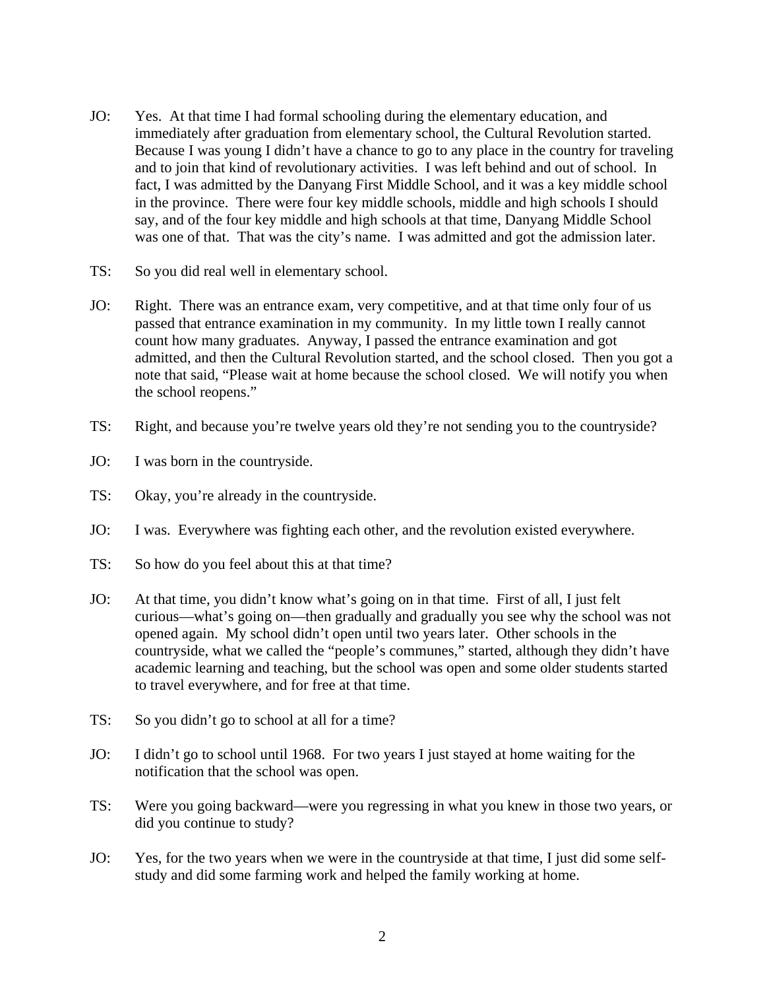- JO: Yes. At that time I had formal schooling during the elementary education, and immediately after graduation from elementary school, the Cultural Revolution started. Because I was young I didn't have a chance to go to any place in the country for traveling and to join that kind of revolutionary activities. I was left behind and out of school. In fact, I was admitted by the Danyang First Middle School, and it was a key middle school in the province. There were four key middle schools, middle and high schools I should say, and of the four key middle and high schools at that time, Danyang Middle School was one of that. That was the city's name. I was admitted and got the admission later.
- TS: So you did real well in elementary school.
- JO: Right. There was an entrance exam, very competitive, and at that time only four of us passed that entrance examination in my community. In my little town I really cannot count how many graduates. Anyway, I passed the entrance examination and got admitted, and then the Cultural Revolution started, and the school closed. Then you got a note that said, "Please wait at home because the school closed. We will notify you when the school reopens."
- TS: Right, and because you're twelve years old they're not sending you to the countryside?
- JO: I was born in the countryside.
- TS: Okay, you're already in the countryside.
- JO: I was. Everywhere was fighting each other, and the revolution existed everywhere.
- TS: So how do you feel about this at that time?
- JO: At that time, you didn't know what's going on in that time. First of all, I just felt curious—what's going on—then gradually and gradually you see why the school was not opened again. My school didn't open until two years later. Other schools in the countryside, what we called the "people's communes," started, although they didn't have academic learning and teaching, but the school was open and some older students started to travel everywhere, and for free at that time.
- TS: So you didn't go to school at all for a time?
- JO: I didn't go to school until 1968. For two years I just stayed at home waiting for the notification that the school was open.
- TS: Were you going backward—were you regressing in what you knew in those two years, or did you continue to study?
- JO: Yes, for the two years when we were in the countryside at that time, I just did some selfstudy and did some farming work and helped the family working at home.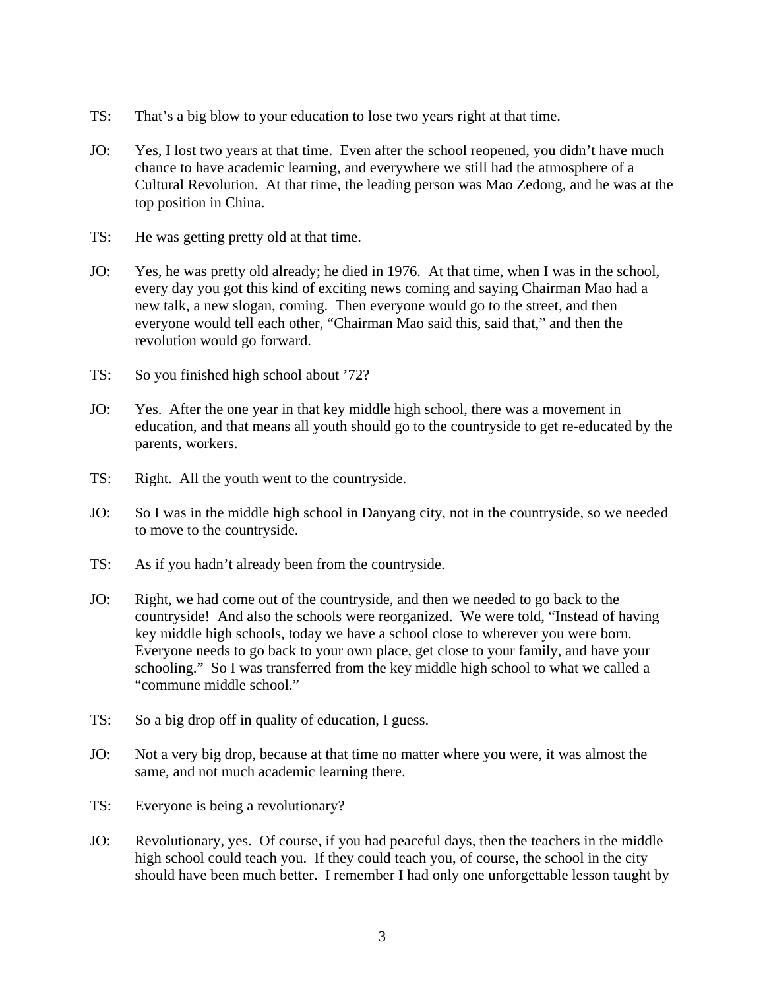- TS: That's a big blow to your education to lose two years right at that time.
- JO: Yes, I lost two years at that time. Even after the school reopened, you didn't have much chance to have academic learning, and everywhere we still had the atmosphere of a Cultural Revolution. At that time, the leading person was Mao Zedong, and he was at the top position in China.
- TS: He was getting pretty old at that time.
- JO: Yes, he was pretty old already; he died in 1976. At that time, when I was in the school, every day you got this kind of exciting news coming and saying Chairman Mao had a new talk, a new slogan, coming. Then everyone would go to the street, and then everyone would tell each other, "Chairman Mao said this, said that," and then the revolution would go forward.
- TS: So you finished high school about '72?
- JO: Yes. After the one year in that key middle high school, there was a movement in education, and that means all youth should go to the countryside to get re-educated by the parents, workers.
- TS: Right. All the youth went to the countryside.
- JO: So I was in the middle high school in Danyang city, not in the countryside, so we needed to move to the countryside.
- TS: As if you hadn't already been from the countryside.
- JO: Right, we had come out of the countryside, and then we needed to go back to the countryside! And also the schools were reorganized. We were told, "Instead of having key middle high schools, today we have a school close to wherever you were born. Everyone needs to go back to your own place, get close to your family, and have your schooling." So I was transferred from the key middle high school to what we called a "commune middle school."
- TS: So a big drop off in quality of education, I guess.
- JO: Not a very big drop, because at that time no matter where you were, it was almost the same, and not much academic learning there.
- TS: Everyone is being a revolutionary?
- JO: Revolutionary, yes. Of course, if you had peaceful days, then the teachers in the middle high school could teach you. If they could teach you, of course, the school in the city should have been much better. I remember I had only one unforgettable lesson taught by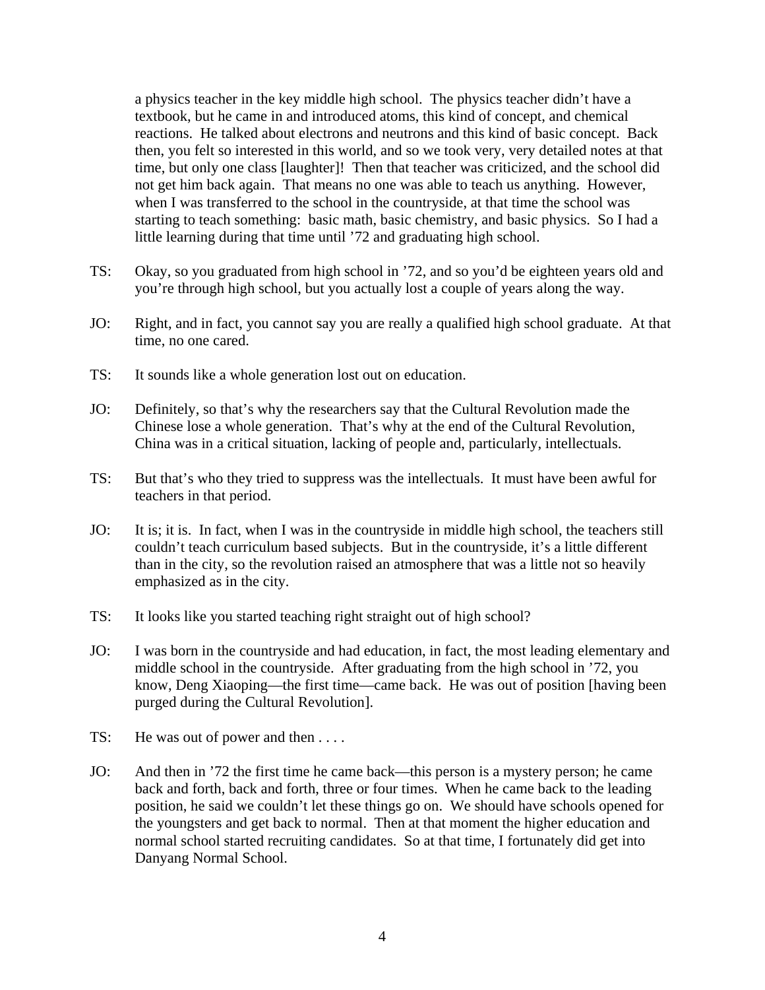a physics teacher in the key middle high school. The physics teacher didn't have a textbook, but he came in and introduced atoms, this kind of concept, and chemical reactions. He talked about electrons and neutrons and this kind of basic concept. Back then, you felt so interested in this world, and so we took very, very detailed notes at that time, but only one class [laughter]! Then that teacher was criticized, and the school did not get him back again. That means no one was able to teach us anything. However, when I was transferred to the school in the countryside, at that time the school was starting to teach something: basic math, basic chemistry, and basic physics. So I had a little learning during that time until '72 and graduating high school.

- TS: Okay, so you graduated from high school in '72, and so you'd be eighteen years old and you're through high school, but you actually lost a couple of years along the way.
- JO: Right, and in fact, you cannot say you are really a qualified high school graduate. At that time, no one cared.
- TS: It sounds like a whole generation lost out on education.
- JO: Definitely, so that's why the researchers say that the Cultural Revolution made the Chinese lose a whole generation. That's why at the end of the Cultural Revolution, China was in a critical situation, lacking of people and, particularly, intellectuals.
- TS: But that's who they tried to suppress was the intellectuals. It must have been awful for teachers in that period.
- JO: It is; it is. In fact, when I was in the countryside in middle high school, the teachers still couldn't teach curriculum based subjects. But in the countryside, it's a little different than in the city, so the revolution raised an atmosphere that was a little not so heavily emphasized as in the city.
- TS: It looks like you started teaching right straight out of high school?
- JO: I was born in the countryside and had education, in fact, the most leading elementary and middle school in the countryside. After graduating from the high school in '72, you know, Deng Xiaoping—the first time—came back. He was out of position [having been purged during the Cultural Revolution].
- TS: He was out of power and then ....
- JO: And then in '72 the first time he came back—this person is a mystery person; he came back and forth, back and forth, three or four times. When he came back to the leading position, he said we couldn't let these things go on. We should have schools opened for the youngsters and get back to normal. Then at that moment the higher education and normal school started recruiting candidates. So at that time, I fortunately did get into Danyang Normal School.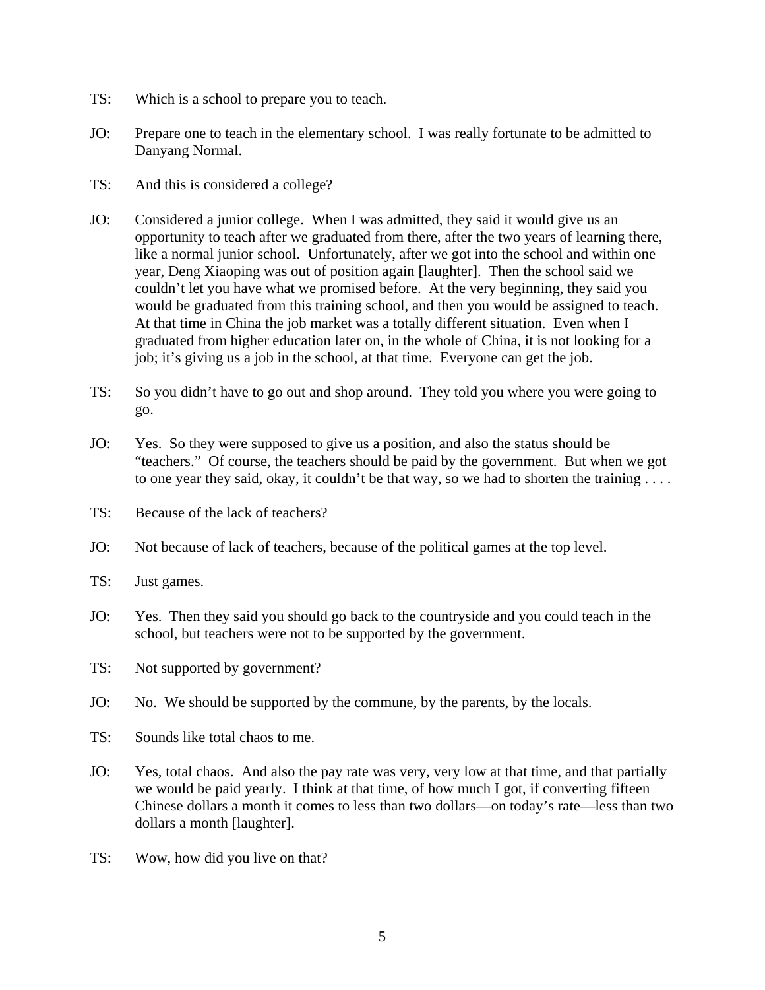- TS: Which is a school to prepare you to teach.
- JO: Prepare one to teach in the elementary school. I was really fortunate to be admitted to Danyang Normal.
- TS: And this is considered a college?
- JO: Considered a junior college. When I was admitted, they said it would give us an opportunity to teach after we graduated from there, after the two years of learning there, like a normal junior school. Unfortunately, after we got into the school and within one year, Deng Xiaoping was out of position again [laughter]. Then the school said we couldn't let you have what we promised before. At the very beginning, they said you would be graduated from this training school, and then you would be assigned to teach. At that time in China the job market was a totally different situation. Even when I graduated from higher education later on, in the whole of China, it is not looking for a job; it's giving us a job in the school, at that time. Everyone can get the job.
- TS: So you didn't have to go out and shop around. They told you where you were going to go.
- JO: Yes. So they were supposed to give us a position, and also the status should be "teachers." Of course, the teachers should be paid by the government. But when we got to one year they said, okay, it couldn't be that way, so we had to shorten the training . . . .
- TS: Because of the lack of teachers?
- JO: Not because of lack of teachers, because of the political games at the top level.
- TS: Just games.
- JO: Yes. Then they said you should go back to the countryside and you could teach in the school, but teachers were not to be supported by the government.
- TS: Not supported by government?
- JO: No. We should be supported by the commune, by the parents, by the locals.
- TS: Sounds like total chaos to me.
- JO: Yes, total chaos. And also the pay rate was very, very low at that time, and that partially we would be paid yearly. I think at that time, of how much I got, if converting fifteen Chinese dollars a month it comes to less than two dollars—on today's rate—less than two dollars a month [laughter].
- TS: Wow, how did you live on that?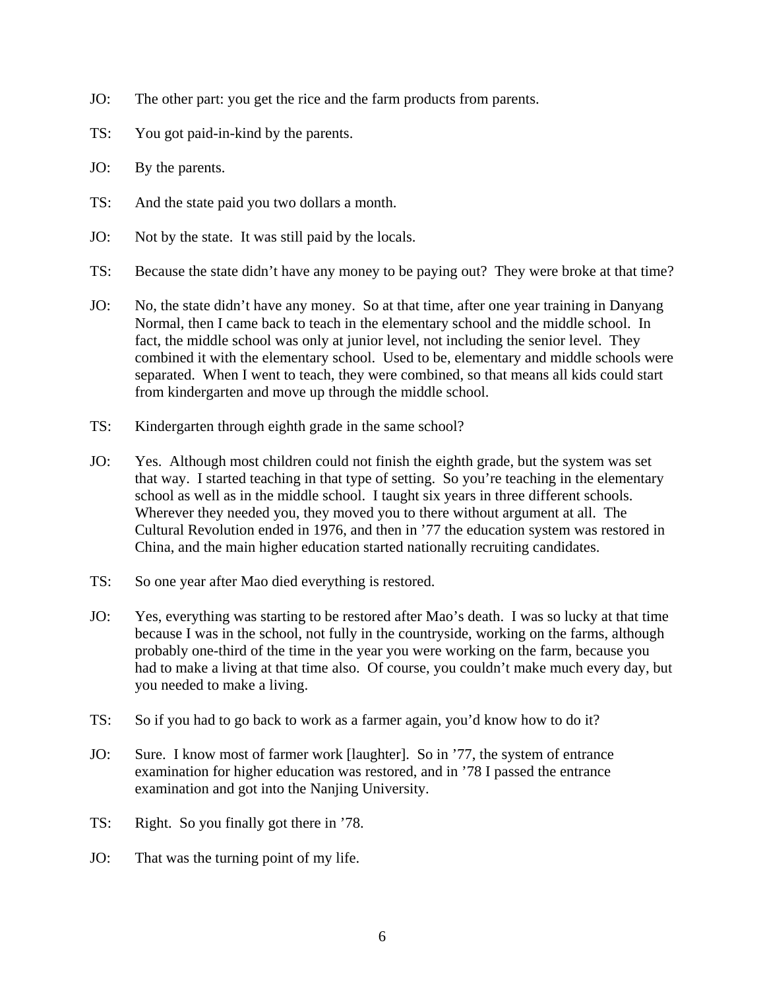- JO: The other part: you get the rice and the farm products from parents.
- TS: You got paid-in-kind by the parents.
- JO: By the parents.
- TS: And the state paid you two dollars a month.
- JO: Not by the state. It was still paid by the locals.
- TS: Because the state didn't have any money to be paying out? They were broke at that time?
- JO: No, the state didn't have any money. So at that time, after one year training in Danyang Normal, then I came back to teach in the elementary school and the middle school. In fact, the middle school was only at junior level, not including the senior level. They combined it with the elementary school. Used to be, elementary and middle schools were separated. When I went to teach, they were combined, so that means all kids could start from kindergarten and move up through the middle school.
- TS: Kindergarten through eighth grade in the same school?
- JO: Yes. Although most children could not finish the eighth grade, but the system was set that way. I started teaching in that type of setting. So you're teaching in the elementary school as well as in the middle school. I taught six years in three different schools. Wherever they needed you, they moved you to there without argument at all. The Cultural Revolution ended in 1976, and then in '77 the education system was restored in China, and the main higher education started nationally recruiting candidates.
- TS: So one year after Mao died everything is restored.
- JO: Yes, everything was starting to be restored after Mao's death. I was so lucky at that time because I was in the school, not fully in the countryside, working on the farms, although probably one-third of the time in the year you were working on the farm, because you had to make a living at that time also. Of course, you couldn't make much every day, but you needed to make a living.
- TS: So if you had to go back to work as a farmer again, you'd know how to do it?
- JO: Sure. I know most of farmer work [laughter]. So in '77, the system of entrance examination for higher education was restored, and in '78 I passed the entrance examination and got into the Nanjing University.
- TS: Right. So you finally got there in '78.
- JO: That was the turning point of my life.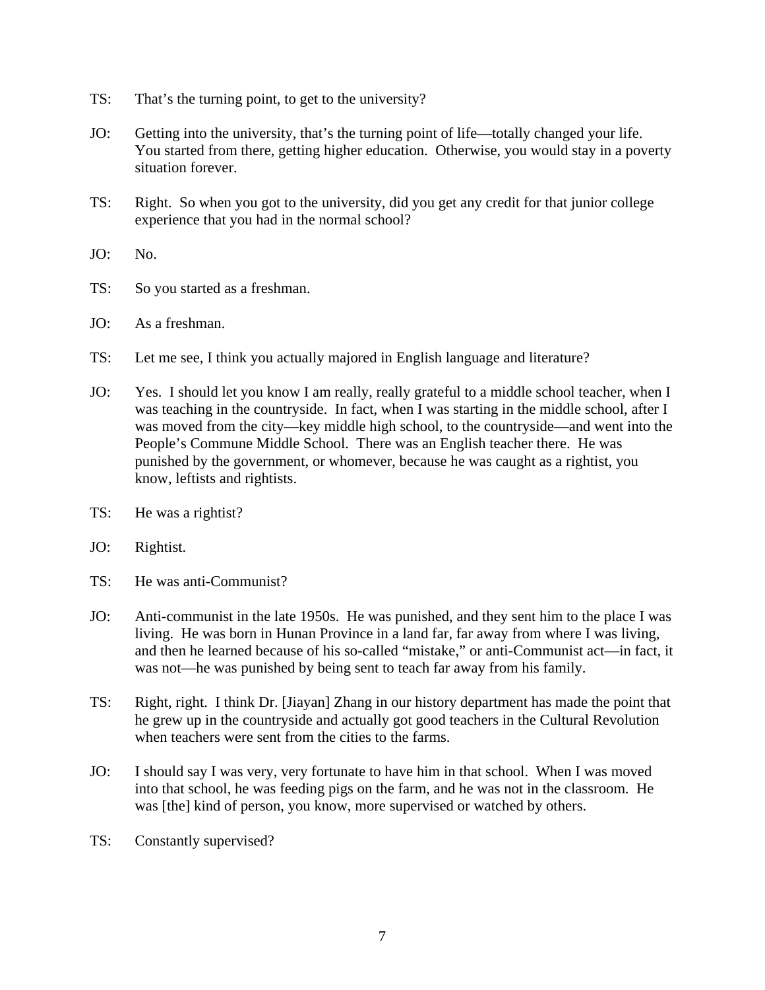- TS: That's the turning point, to get to the university?
- JO: Getting into the university, that's the turning point of life—totally changed your life. You started from there, getting higher education. Otherwise, you would stay in a poverty situation forever.
- TS: Right. So when you got to the university, did you get any credit for that junior college experience that you had in the normal school?
- JO: No.
- TS: So you started as a freshman.
- JO: As a freshman.
- TS: Let me see, I think you actually majored in English language and literature?
- JO: Yes. I should let you know I am really, really grateful to a middle school teacher, when I was teaching in the countryside. In fact, when I was starting in the middle school, after I was moved from the city—key middle high school, to the countryside—and went into the People's Commune Middle School. There was an English teacher there. He was punished by the government, or whomever, because he was caught as a rightist, you know, leftists and rightists.
- TS: He was a rightist?
- JO: Rightist.
- TS: He was anti-Communist?
- JO: Anti-communist in the late 1950s. He was punished, and they sent him to the place I was living. He was born in Hunan Province in a land far, far away from where I was living, and then he learned because of his so-called "mistake," or anti-Communist act—in fact, it was not—he was punished by being sent to teach far away from his family.
- TS: Right, right. I think Dr. [Jiayan] Zhang in our history department has made the point that he grew up in the countryside and actually got good teachers in the Cultural Revolution when teachers were sent from the cities to the farms.
- JO: I should say I was very, very fortunate to have him in that school. When I was moved into that school, he was feeding pigs on the farm, and he was not in the classroom. He was [the] kind of person, you know, more supervised or watched by others.
- TS: Constantly supervised?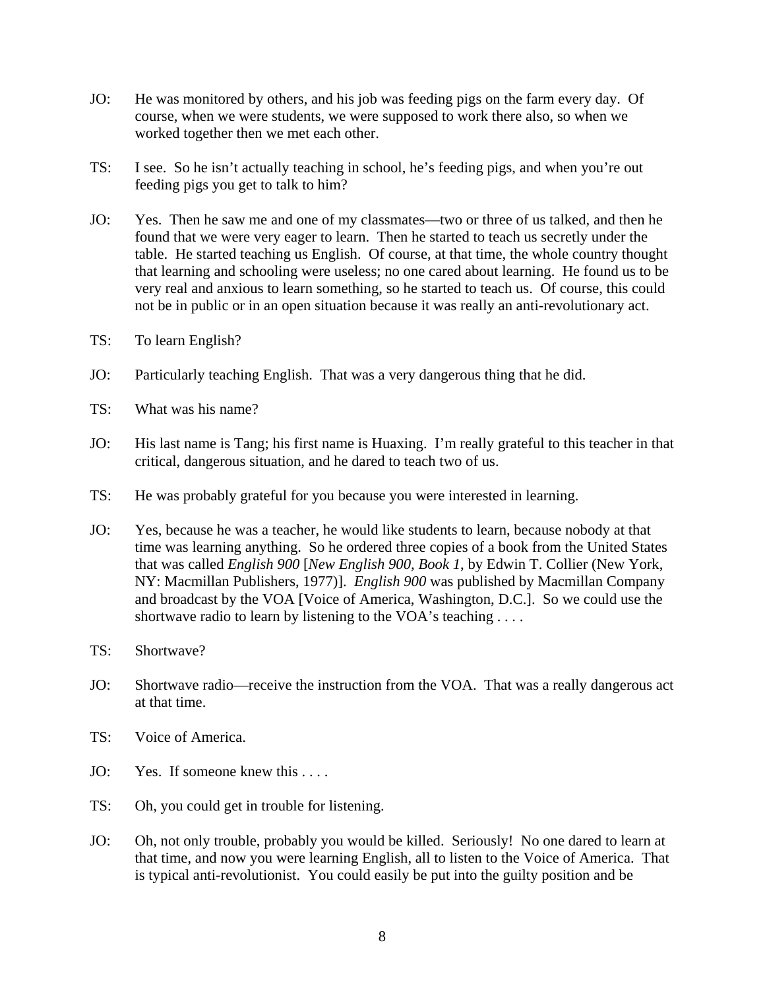- JO: He was monitored by others, and his job was feeding pigs on the farm every day. Of course, when we were students, we were supposed to work there also, so when we worked together then we met each other.
- TS: I see. So he isn't actually teaching in school, he's feeding pigs, and when you're out feeding pigs you get to talk to him?
- JO: Yes. Then he saw me and one of my classmates—two or three of us talked, and then he found that we were very eager to learn. Then he started to teach us secretly under the table. He started teaching us English. Of course, at that time, the whole country thought that learning and schooling were useless; no one cared about learning. He found us to be very real and anxious to learn something, so he started to teach us. Of course, this could not be in public or in an open situation because it was really an anti-revolutionary act.
- TS: To learn English?
- JO: Particularly teaching English. That was a very dangerous thing that he did.
- TS: What was his name?
- JO: His last name is Tang; his first name is Huaxing. I'm really grateful to this teacher in that critical, dangerous situation, and he dared to teach two of us.
- TS: He was probably grateful for you because you were interested in learning.
- JO: Yes, because he was a teacher, he would like students to learn, because nobody at that time was learning anything. So he ordered three copies of a book from the United States that was called *English 900* [*New English 900, Book 1*, by Edwin T. Collier (New York, NY: Macmillan Publishers, 1977)]. *English 900* was published by Macmillan Company and broadcast by the VOA [Voice of America, Washington, D.C.]. So we could use the shortwave radio to learn by listening to the VOA's teaching . . . .
- TS: Shortwave?
- JO: Shortwave radio—receive the instruction from the VOA. That was a really dangerous act at that time.
- TS: Voice of America.
- JO: Yes. If someone knew this ....
- TS: Oh, you could get in trouble for listening.
- JO: Oh, not only trouble, probably you would be killed. Seriously! No one dared to learn at that time, and now you were learning English, all to listen to the Voice of America. That is typical anti-revolutionist. You could easily be put into the guilty position and be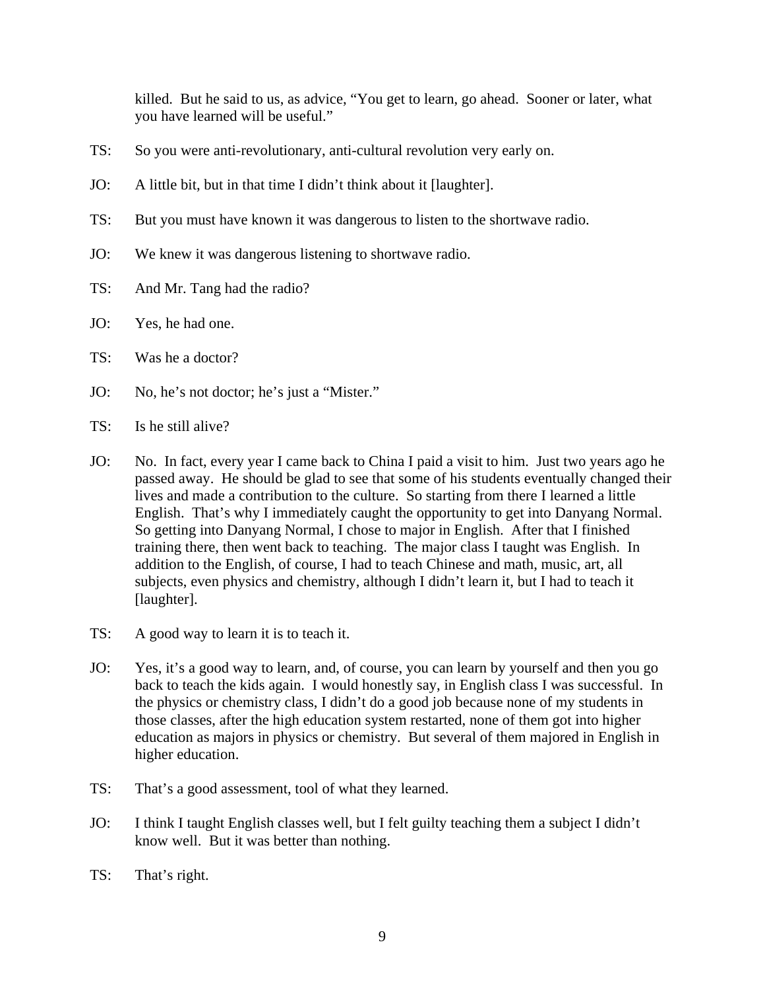killed. But he said to us, as advice, "You get to learn, go ahead. Sooner or later, what you have learned will be useful."

- TS: So you were anti-revolutionary, anti-cultural revolution very early on.
- JO: A little bit, but in that time I didn't think about it [laughter].
- TS: But you must have known it was dangerous to listen to the shortwave radio.
- JO: We knew it was dangerous listening to shortwave radio.
- TS: And Mr. Tang had the radio?
- JO: Yes, he had one.
- TS: Was he a doctor?
- JO: No, he's not doctor; he's just a "Mister."
- $TS:$  Is he still alive?
- JO: No. In fact, every year I came back to China I paid a visit to him. Just two years ago he passed away. He should be glad to see that some of his students eventually changed their lives and made a contribution to the culture. So starting from there I learned a little English. That's why I immediately caught the opportunity to get into Danyang Normal. So getting into Danyang Normal, I chose to major in English. After that I finished training there, then went back to teaching. The major class I taught was English. In addition to the English, of course, I had to teach Chinese and math, music, art, all subjects, even physics and chemistry, although I didn't learn it, but I had to teach it [laughter].
- TS: A good way to learn it is to teach it.
- JO: Yes, it's a good way to learn, and, of course, you can learn by yourself and then you go back to teach the kids again. I would honestly say, in English class I was successful. In the physics or chemistry class, I didn't do a good job because none of my students in those classes, after the high education system restarted, none of them got into higher education as majors in physics or chemistry. But several of them majored in English in higher education.
- TS: That's a good assessment, tool of what they learned.
- JO: I think I taught English classes well, but I felt guilty teaching them a subject I didn't know well. But it was better than nothing.
- TS: That's right.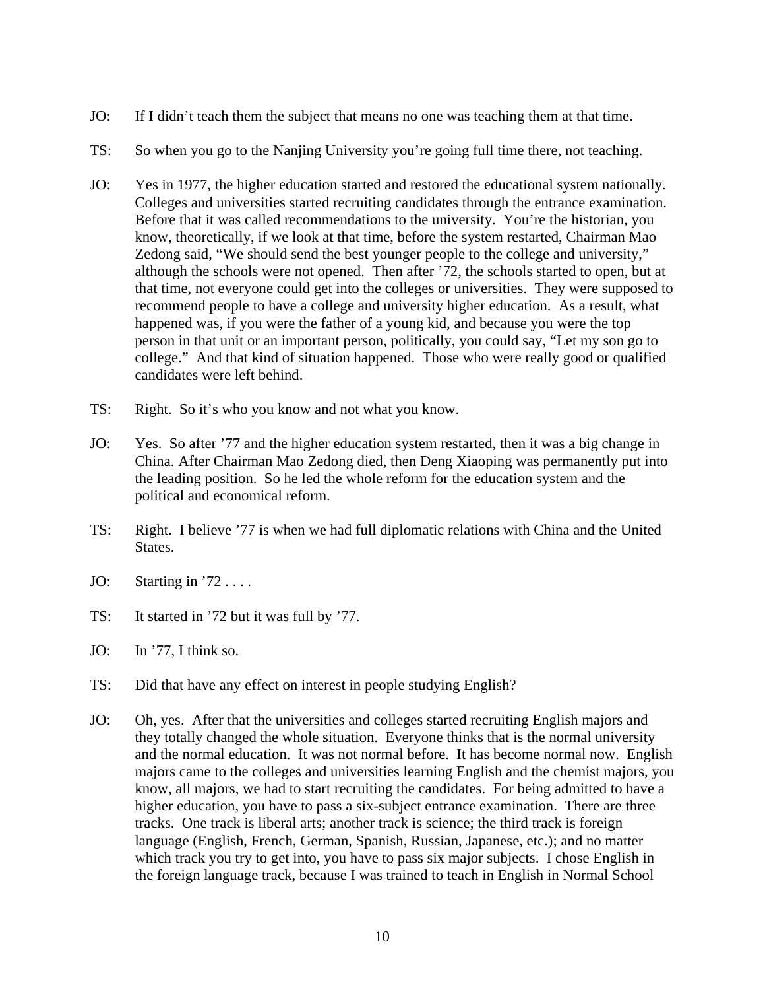- JO: If I didn't teach them the subject that means no one was teaching them at that time.
- TS: So when you go to the Nanjing University you're going full time there, not teaching.
- JO: Yes in 1977, the higher education started and restored the educational system nationally. Colleges and universities started recruiting candidates through the entrance examination. Before that it was called recommendations to the university. You're the historian, you know, theoretically, if we look at that time, before the system restarted, Chairman Mao Zedong said, "We should send the best younger people to the college and university," although the schools were not opened. Then after '72, the schools started to open, but at that time, not everyone could get into the colleges or universities. They were supposed to recommend people to have a college and university higher education. As a result, what happened was, if you were the father of a young kid, and because you were the top person in that unit or an important person, politically, you could say, "Let my son go to college." And that kind of situation happened. Those who were really good or qualified candidates were left behind.
- TS: Right. So it's who you know and not what you know.
- JO: Yes. So after '77 and the higher education system restarted, then it was a big change in China. After Chairman Mao Zedong died, then Deng Xiaoping was permanently put into the leading position. So he led the whole reform for the education system and the political and economical reform.
- TS: Right. I believe '77 is when we had full diplomatic relations with China and the United States.
- JO: Starting in  $72...$
- TS: It started in '72 but it was full by '77.
- JO: In '77, I think so.
- TS: Did that have any effect on interest in people studying English?
- JO: Oh, yes. After that the universities and colleges started recruiting English majors and they totally changed the whole situation. Everyone thinks that is the normal university and the normal education. It was not normal before. It has become normal now. English majors came to the colleges and universities learning English and the chemist majors, you know, all majors, we had to start recruiting the candidates. For being admitted to have a higher education, you have to pass a six-subject entrance examination. There are three tracks. One track is liberal arts; another track is science; the third track is foreign language (English, French, German, Spanish, Russian, Japanese, etc.); and no matter which track you try to get into, you have to pass six major subjects. I chose English in the foreign language track, because I was trained to teach in English in Normal School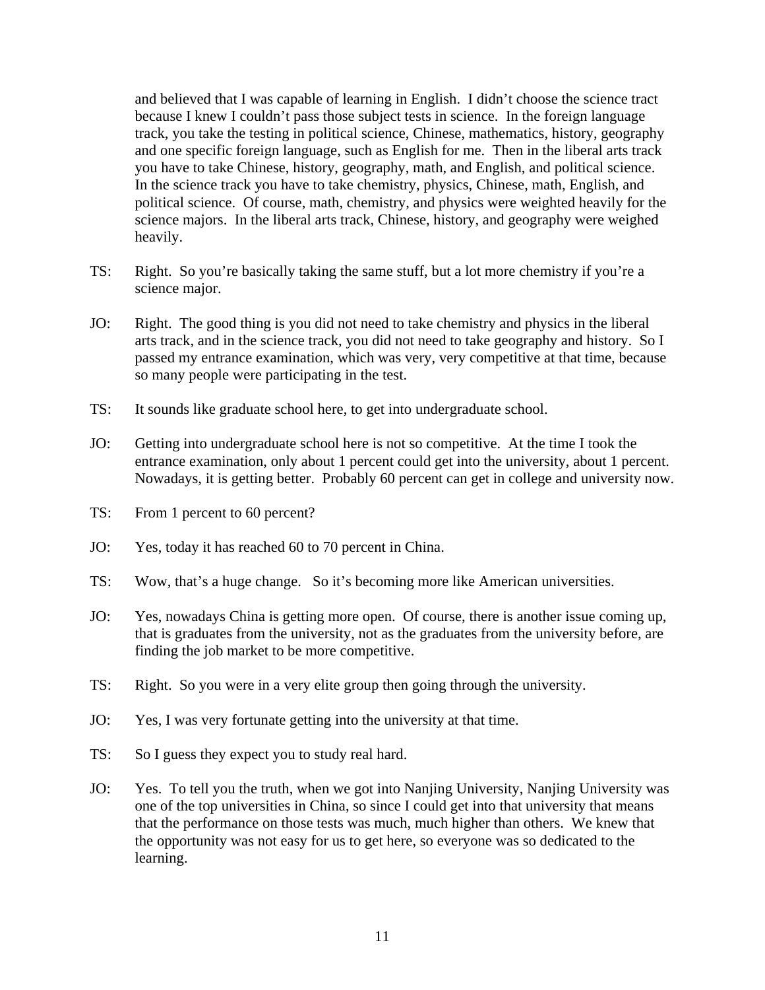and believed that I was capable of learning in English. I didn't choose the science tract because I knew I couldn't pass those subject tests in science. In the foreign language track, you take the testing in political science, Chinese, mathematics, history, geography and one specific foreign language, such as English for me. Then in the liberal arts track you have to take Chinese, history, geography, math, and English, and political science. In the science track you have to take chemistry, physics, Chinese, math, English, and political science. Of course, math, chemistry, and physics were weighted heavily for the science majors. In the liberal arts track, Chinese, history, and geography were weighed heavily.

- TS: Right. So you're basically taking the same stuff, but a lot more chemistry if you're a science major.
- JO: Right. The good thing is you did not need to take chemistry and physics in the liberal arts track, and in the science track, you did not need to take geography and history. So I passed my entrance examination, which was very, very competitive at that time, because so many people were participating in the test.
- TS: It sounds like graduate school here, to get into undergraduate school.
- JO: Getting into undergraduate school here is not so competitive. At the time I took the entrance examination, only about 1 percent could get into the university, about 1 percent. Nowadays, it is getting better. Probably 60 percent can get in college and university now.
- TS: From 1 percent to 60 percent?
- JO: Yes, today it has reached 60 to 70 percent in China.
- TS: Wow, that's a huge change. So it's becoming more like American universities.
- JO: Yes, nowadays China is getting more open. Of course, there is another issue coming up, that is graduates from the university, not as the graduates from the university before, are finding the job market to be more competitive.
- TS: Right. So you were in a very elite group then going through the university.
- JO: Yes, I was very fortunate getting into the university at that time.
- TS: So I guess they expect you to study real hard.
- JO: Yes. To tell you the truth, when we got into Nanjing University, Nanjing University was one of the top universities in China, so since I could get into that university that means that the performance on those tests was much, much higher than others. We knew that the opportunity was not easy for us to get here, so everyone was so dedicated to the learning.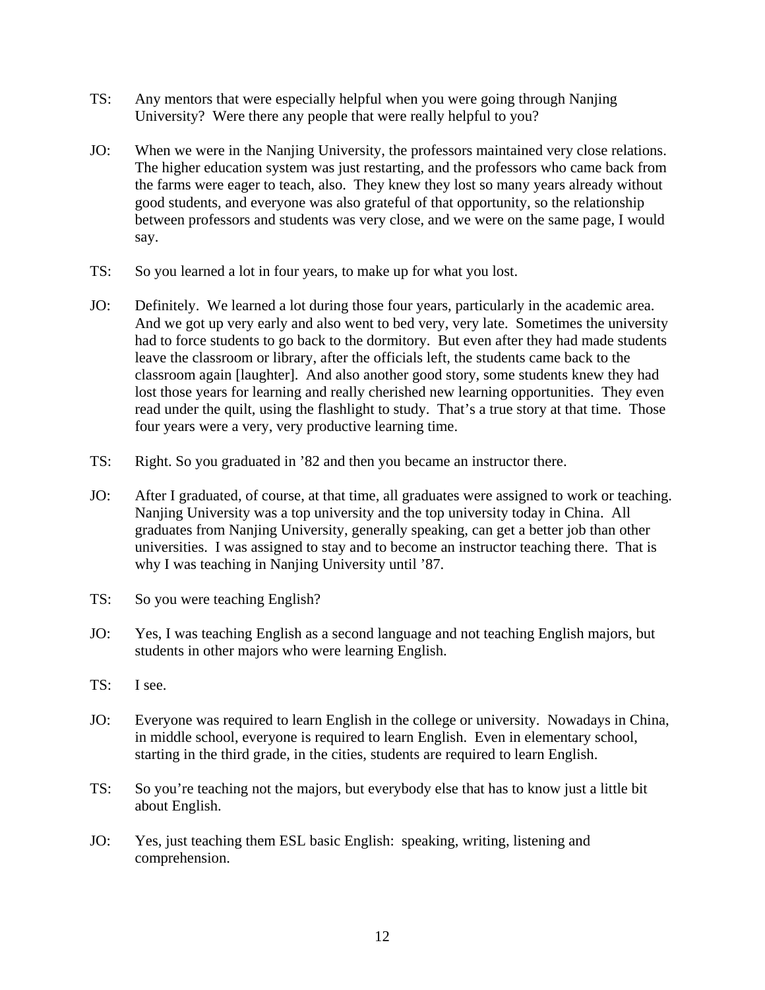- TS: Any mentors that were especially helpful when you were going through Nanjing University? Were there any people that were really helpful to you?
- JO: When we were in the Nanjing University, the professors maintained very close relations. The higher education system was just restarting, and the professors who came back from the farms were eager to teach, also. They knew they lost so many years already without good students, and everyone was also grateful of that opportunity, so the relationship between professors and students was very close, and we were on the same page, I would say.
- TS: So you learned a lot in four years, to make up for what you lost.
- JO: Definitely. We learned a lot during those four years, particularly in the academic area. And we got up very early and also went to bed very, very late. Sometimes the university had to force students to go back to the dormitory. But even after they had made students leave the classroom or library, after the officials left, the students came back to the classroom again [laughter]. And also another good story, some students knew they had lost those years for learning and really cherished new learning opportunities. They even read under the quilt, using the flashlight to study. That's a true story at that time. Those four years were a very, very productive learning time.
- TS: Right. So you graduated in '82 and then you became an instructor there.
- JO: After I graduated, of course, at that time, all graduates were assigned to work or teaching. Nanjing University was a top university and the top university today in China. All graduates from Nanjing University, generally speaking, can get a better job than other universities. I was assigned to stay and to become an instructor teaching there. That is why I was teaching in Nanjing University until '87.
- TS: So you were teaching English?
- JO: Yes, I was teaching English as a second language and not teaching English majors, but students in other majors who were learning English.
- TS: I see.
- JO: Everyone was required to learn English in the college or university. Nowadays in China, in middle school, everyone is required to learn English. Even in elementary school, starting in the third grade, in the cities, students are required to learn English.
- TS: So you're teaching not the majors, but everybody else that has to know just a little bit about English.
- JO: Yes, just teaching them ESL basic English: speaking, writing, listening and comprehension.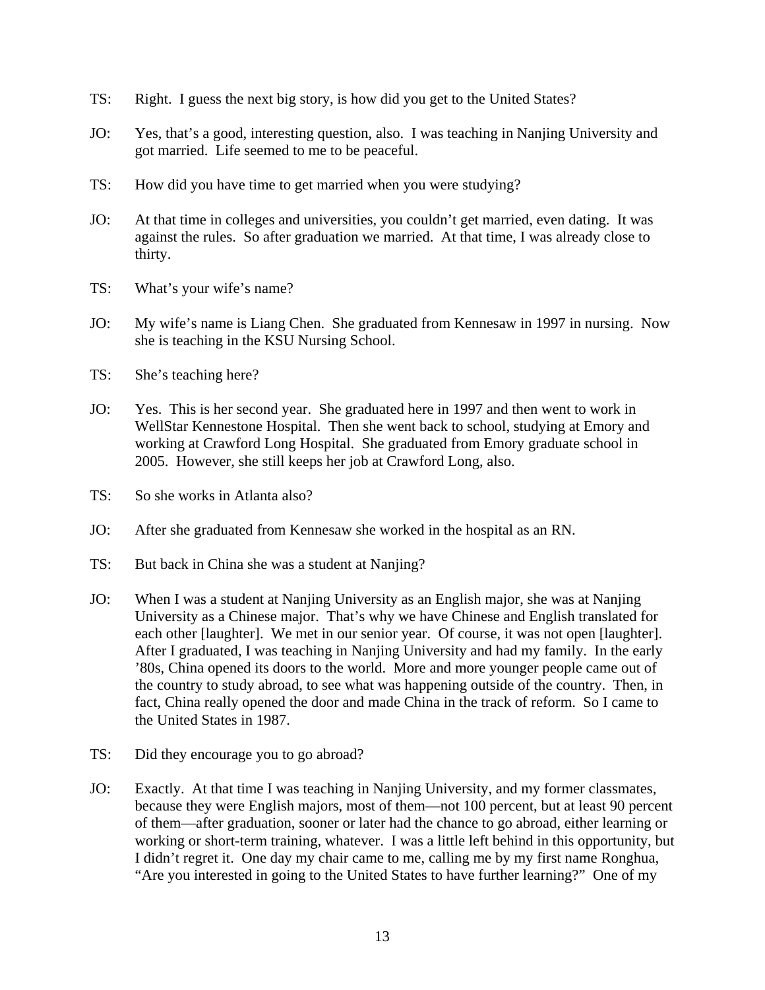- TS: Right. I guess the next big story, is how did you get to the United States?
- JO: Yes, that's a good, interesting question, also. I was teaching in Nanjing University and got married. Life seemed to me to be peaceful.
- TS: How did you have time to get married when you were studying?
- JO: At that time in colleges and universities, you couldn't get married, even dating. It was against the rules. So after graduation we married. At that time, I was already close to thirty.
- TS: What's your wife's name?
- JO: My wife's name is Liang Chen. She graduated from Kennesaw in 1997 in nursing. Now she is teaching in the KSU Nursing School.
- TS: She's teaching here?
- JO: Yes. This is her second year. She graduated here in 1997 and then went to work in WellStar Kennestone Hospital. Then she went back to school, studying at Emory and working at Crawford Long Hospital. She graduated from Emory graduate school in 2005. However, she still keeps her job at Crawford Long, also.
- TS: So she works in Atlanta also?
- JO: After she graduated from Kennesaw she worked in the hospital as an RN.
- TS: But back in China she was a student at Nanjing?
- JO: When I was a student at Nanjing University as an English major, she was at Nanjing University as a Chinese major. That's why we have Chinese and English translated for each other [laughter]. We met in our senior year. Of course, it was not open [laughter]. After I graduated, I was teaching in Nanjing University and had my family. In the early '80s, China opened its doors to the world. More and more younger people came out of the country to study abroad, to see what was happening outside of the country. Then, in fact, China really opened the door and made China in the track of reform. So I came to the United States in 1987.
- TS: Did they encourage you to go abroad?
- JO: Exactly. At that time I was teaching in Nanjing University, and my former classmates, because they were English majors, most of them—not 100 percent, but at least 90 percent of them—after graduation, sooner or later had the chance to go abroad, either learning or working or short-term training, whatever. I was a little left behind in this opportunity, but I didn't regret it. One day my chair came to me, calling me by my first name Ronghua, "Are you interested in going to the United States to have further learning?" One of my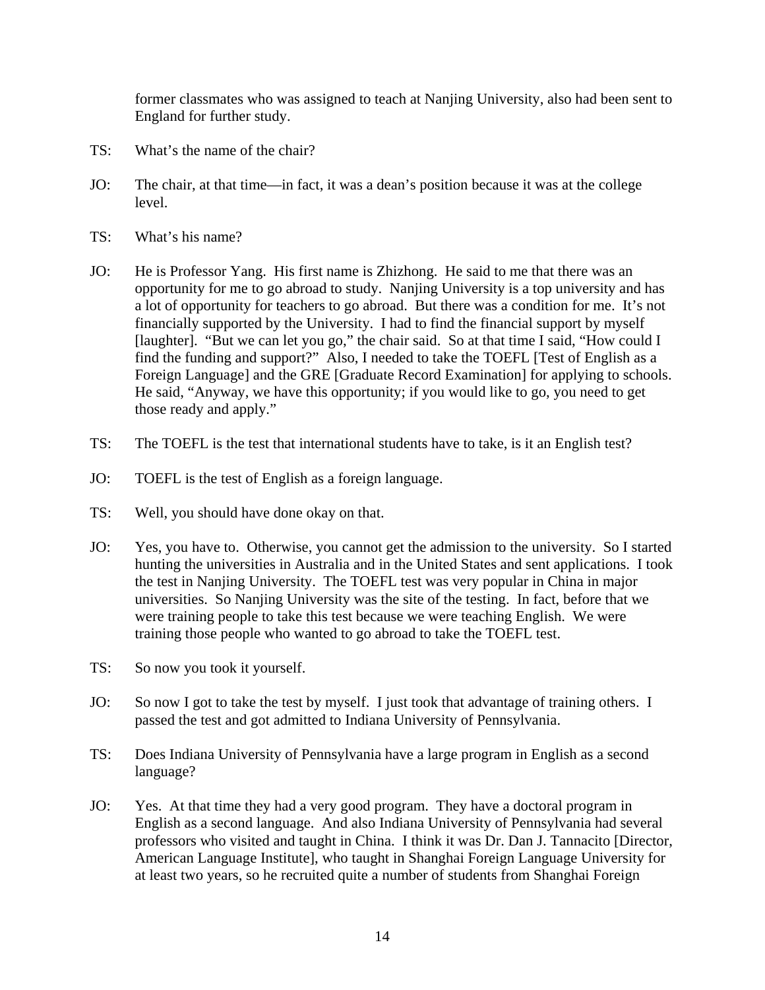former classmates who was assigned to teach at Nanjing University, also had been sent to England for further study.

- TS: What's the name of the chair?
- JO: The chair, at that time—in fact, it was a dean's position because it was at the college level.
- TS: What's his name?
- JO: He is Professor Yang. His first name is Zhizhong. He said to me that there was an opportunity for me to go abroad to study. Nanjing University is a top university and has a lot of opportunity for teachers to go abroad. But there was a condition for me. It's not financially supported by the University. I had to find the financial support by myself [laughter]. "But we can let you go," the chair said. So at that time I said, "How could I find the funding and support?" Also, I needed to take the TOEFL [Test of English as a Foreign Language] and the GRE [Graduate Record Examination] for applying to schools. He said, "Anyway, we have this opportunity; if you would like to go, you need to get those ready and apply."
- TS: The TOEFL is the test that international students have to take, is it an English test?
- JO: TOEFL is the test of English as a foreign language.
- TS: Well, you should have done okay on that.
- JO: Yes, you have to. Otherwise, you cannot get the admission to the university. So I started hunting the universities in Australia and in the United States and sent applications. I took the test in Nanjing University. The TOEFL test was very popular in China in major universities. So Nanjing University was the site of the testing. In fact, before that we were training people to take this test because we were teaching English. We were training those people who wanted to go abroad to take the TOEFL test.
- TS: So now you took it yourself.
- JO: So now I got to take the test by myself. I just took that advantage of training others. I passed the test and got admitted to Indiana University of Pennsylvania.
- TS: Does Indiana University of Pennsylvania have a large program in English as a second language?
- JO: Yes. At that time they had a very good program. They have a doctoral program in English as a second language. And also Indiana University of Pennsylvania had several professors who visited and taught in China. I think it was Dr. Dan J. Tannacito [Director, American Language Institute], who taught in Shanghai Foreign Language University for at least two years, so he recruited quite a number of students from Shanghai Foreign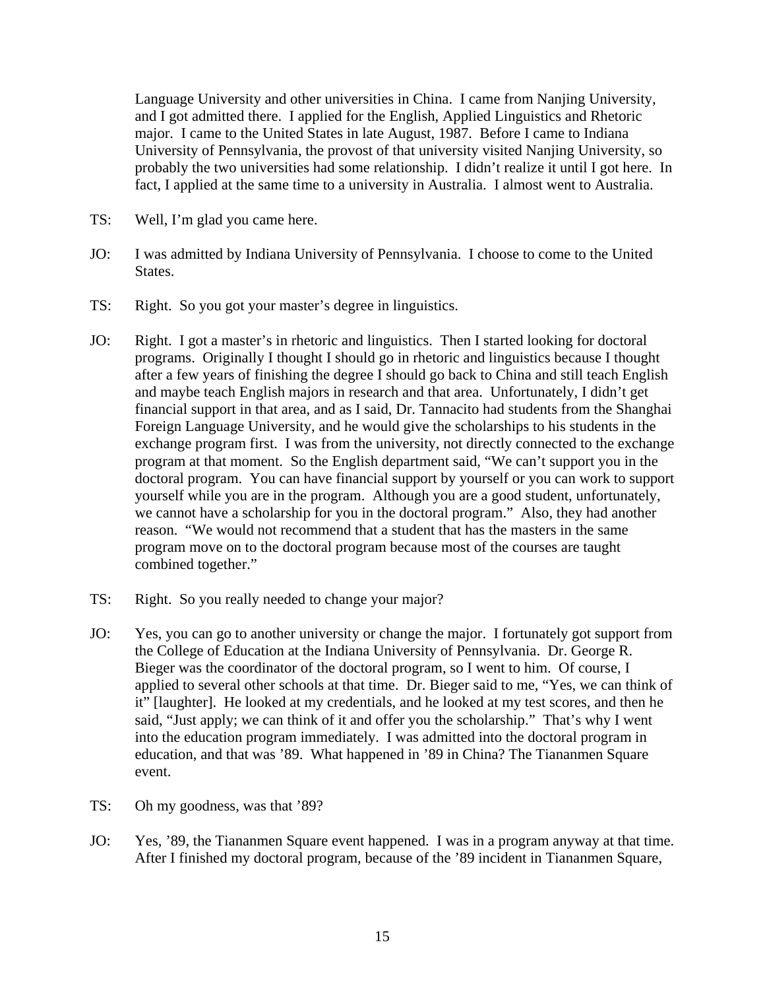Language University and other universities in China. I came from Nanjing University, and I got admitted there. I applied for the English, Applied Linguistics and Rhetoric major. I came to the United States in late August, 1987. Before I came to Indiana University of Pennsylvania, the provost of that university visited Nanjing University, so probably the two universities had some relationship. I didn't realize it until I got here. In fact, I applied at the same time to a university in Australia. I almost went to Australia.

- TS: Well, I'm glad you came here.
- JO: I was admitted by Indiana University of Pennsylvania. I choose to come to the United States.
- TS: Right. So you got your master's degree in linguistics.
- JO: Right. I got a master's in rhetoric and linguistics. Then I started looking for doctoral programs. Originally I thought I should go in rhetoric and linguistics because I thought after a few years of finishing the degree I should go back to China and still teach English and maybe teach English majors in research and that area. Unfortunately, I didn't get financial support in that area, and as I said, Dr. Tannacito had students from the Shanghai Foreign Language University, and he would give the scholarships to his students in the exchange program first. I was from the university, not directly connected to the exchange program at that moment. So the English department said, "We can't support you in the doctoral program. You can have financial support by yourself or you can work to support yourself while you are in the program. Although you are a good student, unfortunately, we cannot have a scholarship for you in the doctoral program." Also, they had another reason. "We would not recommend that a student that has the masters in the same program move on to the doctoral program because most of the courses are taught combined together."
- TS: Right. So you really needed to change your major?
- JO: Yes, you can go to another university or change the major. I fortunately got support from the College of Education at the Indiana University of Pennsylvania. Dr. George R. Bieger was the coordinator of the doctoral program, so I went to him. Of course, I applied to several other schools at that time. Dr. Bieger said to me, "Yes, we can think of it" [laughter]. He looked at my credentials, and he looked at my test scores, and then he said, "Just apply; we can think of it and offer you the scholarship." That's why I went into the education program immediately. I was admitted into the doctoral program in education, and that was '89. What happened in '89 in China? The Tiananmen Square event.
- TS: Oh my goodness, was that '89?
- JO: Yes, '89, the Tiananmen Square event happened. I was in a program anyway at that time. After I finished my doctoral program, because of the '89 incident in Tiananmen Square,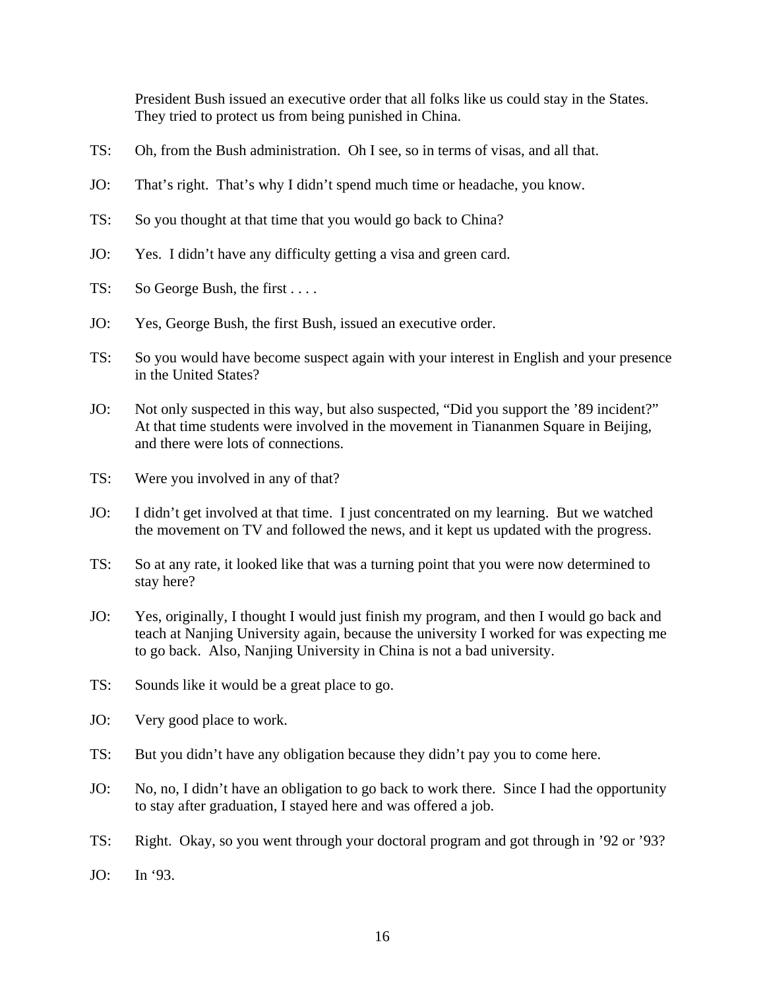President Bush issued an executive order that all folks like us could stay in the States. They tried to protect us from being punished in China.

- TS: Oh, from the Bush administration. Oh I see, so in terms of visas, and all that.
- JO: That's right. That's why I didn't spend much time or headache, you know.
- TS: So you thought at that time that you would go back to China?
- JO: Yes. I didn't have any difficulty getting a visa and green card.
- TS: So George Bush, the first . . . .
- JO: Yes, George Bush, the first Bush, issued an executive order.
- TS: So you would have become suspect again with your interest in English and your presence in the United States?
- JO: Not only suspected in this way, but also suspected, "Did you support the '89 incident?" At that time students were involved in the movement in Tiananmen Square in Beijing, and there were lots of connections.
- TS: Were you involved in any of that?
- JO: I didn't get involved at that time. I just concentrated on my learning. But we watched the movement on TV and followed the news, and it kept us updated with the progress.
- TS: So at any rate, it looked like that was a turning point that you were now determined to stay here?
- JO: Yes, originally, I thought I would just finish my program, and then I would go back and teach at Nanjing University again, because the university I worked for was expecting me to go back. Also, Nanjing University in China is not a bad university.
- TS: Sounds like it would be a great place to go.
- JO: Very good place to work.
- TS: But you didn't have any obligation because they didn't pay you to come here.
- JO: No, no, I didn't have an obligation to go back to work there. Since I had the opportunity to stay after graduation, I stayed here and was offered a job.
- TS: Right. Okay, so you went through your doctoral program and got through in '92 or '93?
- JO: In '93.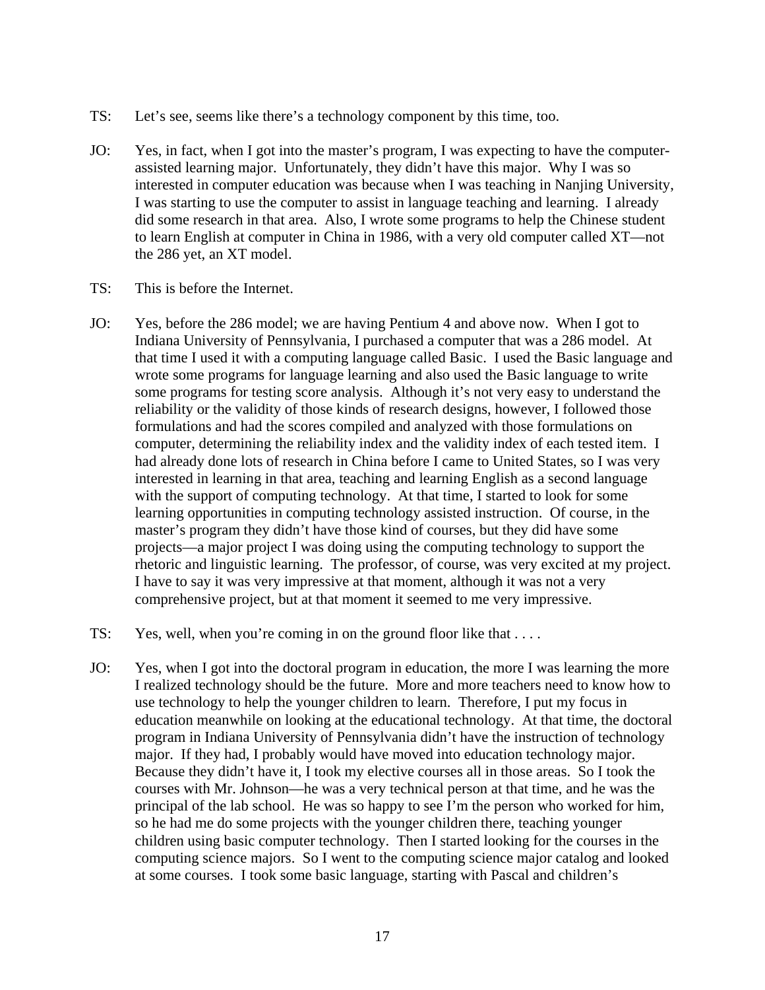- TS: Let's see, seems like there's a technology component by this time, too.
- JO: Yes, in fact, when I got into the master's program, I was expecting to have the computerassisted learning major. Unfortunately, they didn't have this major. Why I was so interested in computer education was because when I was teaching in Nanjing University, I was starting to use the computer to assist in language teaching and learning. I already did some research in that area. Also, I wrote some programs to help the Chinese student to learn English at computer in China in 1986, with a very old computer called XT—not the 286 yet, an XT model.
- TS: This is before the Internet.
- JO: Yes, before the 286 model; we are having Pentium 4 and above now. When I got to Indiana University of Pennsylvania, I purchased a computer that was a 286 model. At that time I used it with a computing language called Basic. I used the Basic language and wrote some programs for language learning and also used the Basic language to write some programs for testing score analysis. Although it's not very easy to understand the reliability or the validity of those kinds of research designs, however, I followed those formulations and had the scores compiled and analyzed with those formulations on computer, determining the reliability index and the validity index of each tested item. I had already done lots of research in China before I came to United States, so I was very interested in learning in that area, teaching and learning English as a second language with the support of computing technology. At that time, I started to look for some learning opportunities in computing technology assisted instruction. Of course, in the master's program they didn't have those kind of courses, but they did have some projects—a major project I was doing using the computing technology to support the rhetoric and linguistic learning. The professor, of course, was very excited at my project. I have to say it was very impressive at that moment, although it was not a very comprehensive project, but at that moment it seemed to me very impressive.
- TS: Yes, well, when you're coming in on the ground floor like that ....
- JO: Yes, when I got into the doctoral program in education, the more I was learning the more I realized technology should be the future. More and more teachers need to know how to use technology to help the younger children to learn. Therefore, I put my focus in education meanwhile on looking at the educational technology. At that time, the doctoral program in Indiana University of Pennsylvania didn't have the instruction of technology major. If they had, I probably would have moved into education technology major. Because they didn't have it, I took my elective courses all in those areas. So I took the courses with Mr. Johnson—he was a very technical person at that time, and he was the principal of the lab school. He was so happy to see I'm the person who worked for him, so he had me do some projects with the younger children there, teaching younger children using basic computer technology. Then I started looking for the courses in the computing science majors. So I went to the computing science major catalog and looked at some courses. I took some basic language, starting with Pascal and children's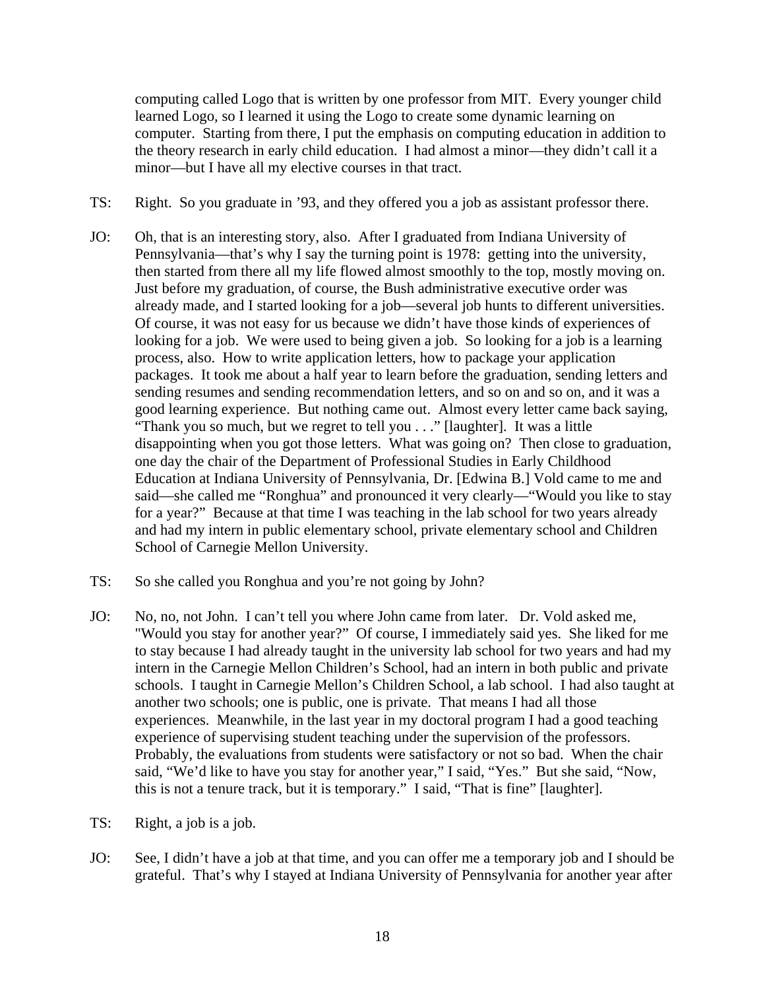computing called Logo that is written by one professor from MIT. Every younger child learned Logo, so I learned it using the Logo to create some dynamic learning on computer. Starting from there, I put the emphasis on computing education in addition to the theory research in early child education. I had almost a minor—they didn't call it a minor—but I have all my elective courses in that tract.

- TS: Right. So you graduate in '93, and they offered you a job as assistant professor there.
- JO: Oh, that is an interesting story, also. After I graduated from Indiana University of Pennsylvania—that's why I say the turning point is 1978: getting into the university, then started from there all my life flowed almost smoothly to the top, mostly moving on. Just before my graduation, of course, the Bush administrative executive order was already made, and I started looking for a job—several job hunts to different universities. Of course, it was not easy for us because we didn't have those kinds of experiences of looking for a job. We were used to being given a job. So looking for a job is a learning process, also. How to write application letters, how to package your application packages. It took me about a half year to learn before the graduation, sending letters and sending resumes and sending recommendation letters, and so on and so on, and it was a good learning experience. But nothing came out. Almost every letter came back saying, "Thank you so much, but we regret to tell you . . ." [laughter]. It was a little disappointing when you got those letters. What was going on? Then close to graduation, one day the chair of the Department of Professional Studies in Early Childhood Education at Indiana University of Pennsylvania, Dr. [Edwina B.] Vold came to me and said—she called me "Ronghua" and pronounced it very clearly—"Would you like to stay for a year?" Because at that time I was teaching in the lab school for two years already and had my intern in public elementary school, private elementary school and Children School of Carnegie Mellon University.
- TS: So she called you Ronghua and you're not going by John?
- JO: No, no, not John. I can't tell you where John came from later. Dr. Vold asked me, "Would you stay for another year?" Of course, I immediately said yes. She liked for me to stay because I had already taught in the university lab school for two years and had my intern in the Carnegie Mellon Children's School, had an intern in both public and private schools. I taught in Carnegie Mellon's Children School, a lab school. I had also taught at another two schools; one is public, one is private. That means I had all those experiences. Meanwhile, in the last year in my doctoral program I had a good teaching experience of supervising student teaching under the supervision of the professors. Probably, the evaluations from students were satisfactory or not so bad. When the chair said, "We'd like to have you stay for another year," I said, "Yes." But she said, "Now, this is not a tenure track, but it is temporary." I said, "That is fine" [laughter].
- TS: Right, a job is a job.
- JO: See, I didn't have a job at that time, and you can offer me a temporary job and I should be grateful. That's why I stayed at Indiana University of Pennsylvania for another year after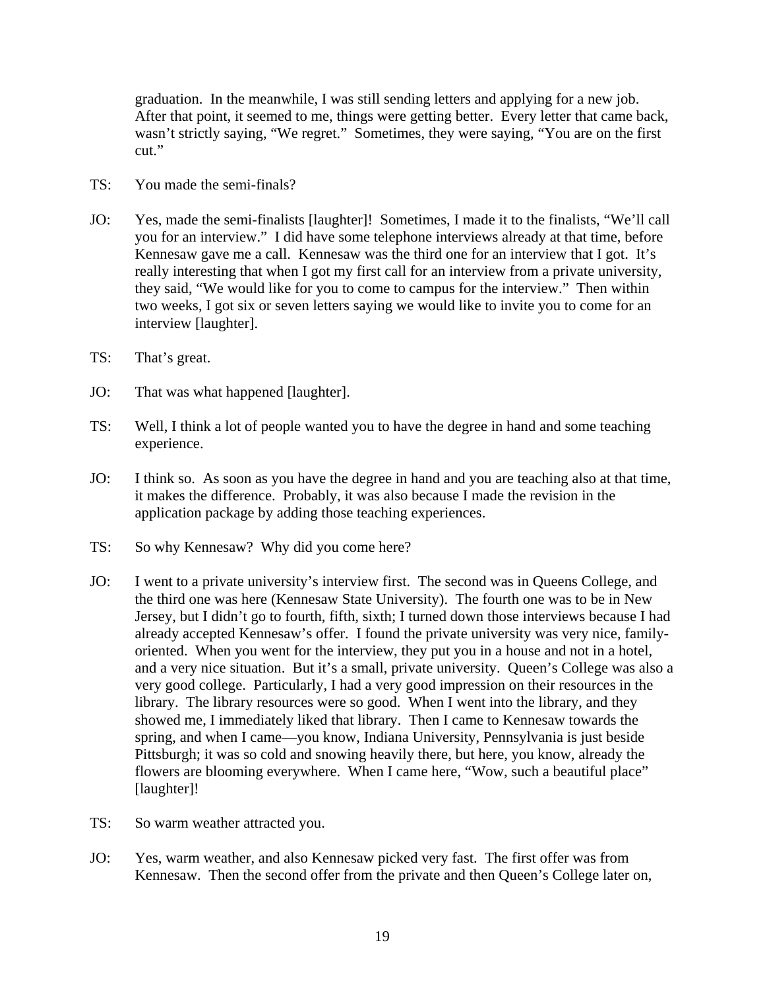graduation. In the meanwhile, I was still sending letters and applying for a new job. After that point, it seemed to me, things were getting better. Every letter that came back, wasn't strictly saying, "We regret." Sometimes, they were saying, "You are on the first cut."

- TS: You made the semi-finals?
- JO: Yes, made the semi-finalists [laughter]! Sometimes, I made it to the finalists, "We'll call you for an interview." I did have some telephone interviews already at that time, before Kennesaw gave me a call. Kennesaw was the third one for an interview that I got. It's really interesting that when I got my first call for an interview from a private university, they said, "We would like for you to come to campus for the interview." Then within two weeks, I got six or seven letters saying we would like to invite you to come for an interview [laughter].
- TS: That's great.
- JO: That was what happened [laughter].
- TS: Well, I think a lot of people wanted you to have the degree in hand and some teaching experience.
- JO: I think so. As soon as you have the degree in hand and you are teaching also at that time, it makes the difference. Probably, it was also because I made the revision in the application package by adding those teaching experiences.
- TS: So why Kennesaw? Why did you come here?
- JO: I went to a private university's interview first. The second was in Queens College, and the third one was here (Kennesaw State University). The fourth one was to be in New Jersey, but I didn't go to fourth, fifth, sixth; I turned down those interviews because I had already accepted Kennesaw's offer. I found the private university was very nice, familyoriented. When you went for the interview, they put you in a house and not in a hotel, and a very nice situation. But it's a small, private university. Queen's College was also a very good college. Particularly, I had a very good impression on their resources in the library. The library resources were so good. When I went into the library, and they showed me, I immediately liked that library. Then I came to Kennesaw towards the spring, and when I came—you know, Indiana University, Pennsylvania is just beside Pittsburgh; it was so cold and snowing heavily there, but here, you know, already the flowers are blooming everywhere. When I came here, "Wow, such a beautiful place" [laughter]!
- TS: So warm weather attracted you.
- JO: Yes, warm weather, and also Kennesaw picked very fast. The first offer was from Kennesaw. Then the second offer from the private and then Queen's College later on,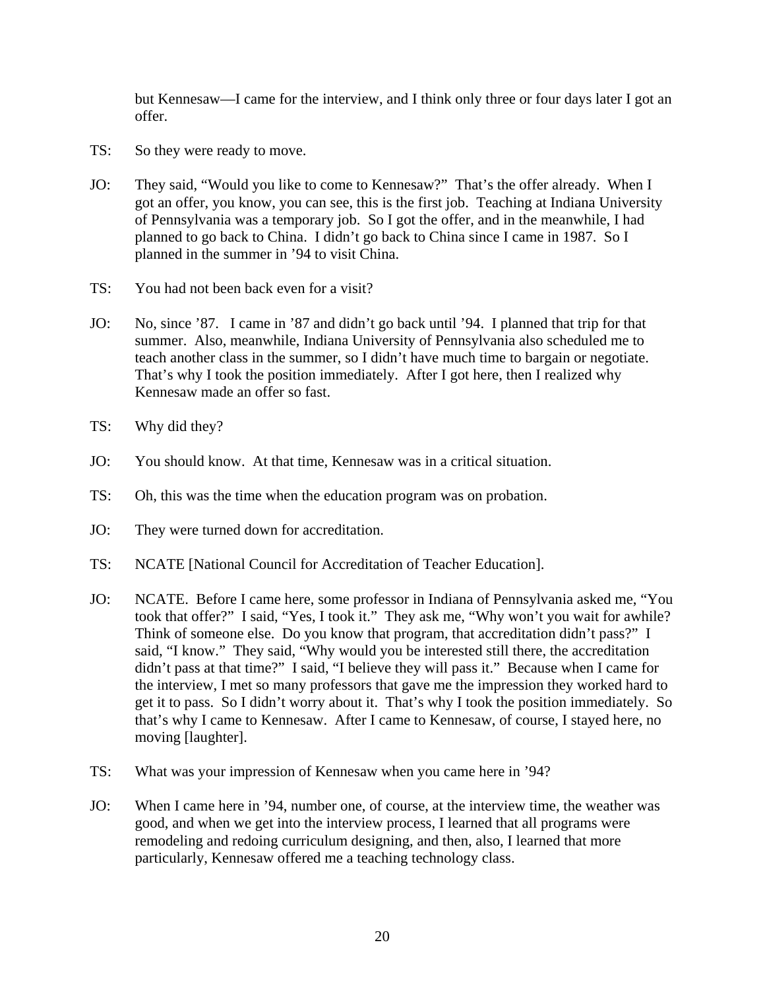but Kennesaw—I came for the interview, and I think only three or four days later I got an offer.

- TS: So they were ready to move.
- JO: They said, "Would you like to come to Kennesaw?" That's the offer already. When I got an offer, you know, you can see, this is the first job. Teaching at Indiana University of Pennsylvania was a temporary job. So I got the offer, and in the meanwhile, I had planned to go back to China. I didn't go back to China since I came in 1987. So I planned in the summer in '94 to visit China.
- TS: You had not been back even for a visit?
- JO: No, since '87. I came in '87 and didn't go back until '94. I planned that trip for that summer. Also, meanwhile, Indiana University of Pennsylvania also scheduled me to teach another class in the summer, so I didn't have much time to bargain or negotiate. That's why I took the position immediately. After I got here, then I realized why Kennesaw made an offer so fast.
- TS: Why did they?
- JO: You should know. At that time, Kennesaw was in a critical situation.
- TS: Oh, this was the time when the education program was on probation.
- JO: They were turned down for accreditation.
- TS: NCATE [National Council for Accreditation of Teacher Education].
- JO: NCATE. Before I came here, some professor in Indiana of Pennsylvania asked me, "You took that offer?" I said, "Yes, I took it." They ask me, "Why won't you wait for awhile? Think of someone else. Do you know that program, that accreditation didn't pass?" I said, "I know." They said, "Why would you be interested still there, the accreditation didn't pass at that time?" I said, "I believe they will pass it." Because when I came for the interview, I met so many professors that gave me the impression they worked hard to get it to pass. So I didn't worry about it. That's why I took the position immediately. So that's why I came to Kennesaw. After I came to Kennesaw, of course, I stayed here, no moving [laughter].
- TS: What was your impression of Kennesaw when you came here in '94?
- JO: When I came here in '94, number one, of course, at the interview time, the weather was good, and when we get into the interview process, I learned that all programs were remodeling and redoing curriculum designing, and then, also, I learned that more particularly, Kennesaw offered me a teaching technology class.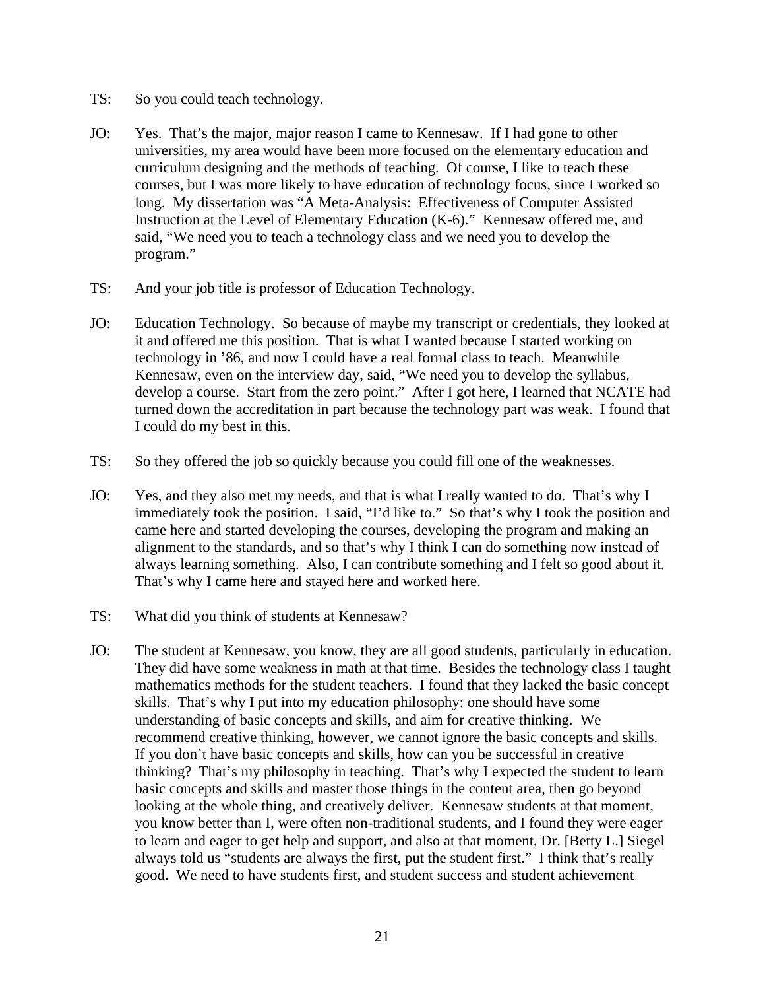- TS: So you could teach technology.
- JO: Yes. That's the major, major reason I came to Kennesaw. If I had gone to other universities, my area would have been more focused on the elementary education and curriculum designing and the methods of teaching. Of course, I like to teach these courses, but I was more likely to have education of technology focus, since I worked so long. My dissertation was "A Meta-Analysis: Effectiveness of Computer Assisted Instruction at the Level of Elementary Education (K-6)." Kennesaw offered me, and said, "We need you to teach a technology class and we need you to develop the program."
- TS: And your job title is professor of Education Technology.
- JO: Education Technology. So because of maybe my transcript or credentials, they looked at it and offered me this position. That is what I wanted because I started working on technology in '86, and now I could have a real formal class to teach. Meanwhile Kennesaw, even on the interview day, said, "We need you to develop the syllabus, develop a course. Start from the zero point." After I got here, I learned that NCATE had turned down the accreditation in part because the technology part was weak. I found that I could do my best in this.
- TS: So they offered the job so quickly because you could fill one of the weaknesses.
- JO: Yes, and they also met my needs, and that is what I really wanted to do. That's why I immediately took the position. I said, "I'd like to." So that's why I took the position and came here and started developing the courses, developing the program and making an alignment to the standards, and so that's why I think I can do something now instead of always learning something. Also, I can contribute something and I felt so good about it. That's why I came here and stayed here and worked here.
- TS: What did you think of students at Kennesaw?
- JO: The student at Kennesaw, you know, they are all good students, particularly in education. They did have some weakness in math at that time. Besides the technology class I taught mathematics methods for the student teachers. I found that they lacked the basic concept skills. That's why I put into my education philosophy: one should have some understanding of basic concepts and skills, and aim for creative thinking. We recommend creative thinking, however, we cannot ignore the basic concepts and skills. If you don't have basic concepts and skills, how can you be successful in creative thinking? That's my philosophy in teaching. That's why I expected the student to learn basic concepts and skills and master those things in the content area, then go beyond looking at the whole thing, and creatively deliver. Kennesaw students at that moment, you know better than I, were often non-traditional students, and I found they were eager to learn and eager to get help and support, and also at that moment, Dr. [Betty L.] Siegel always told us "students are always the first, put the student first." I think that's really good. We need to have students first, and student success and student achievement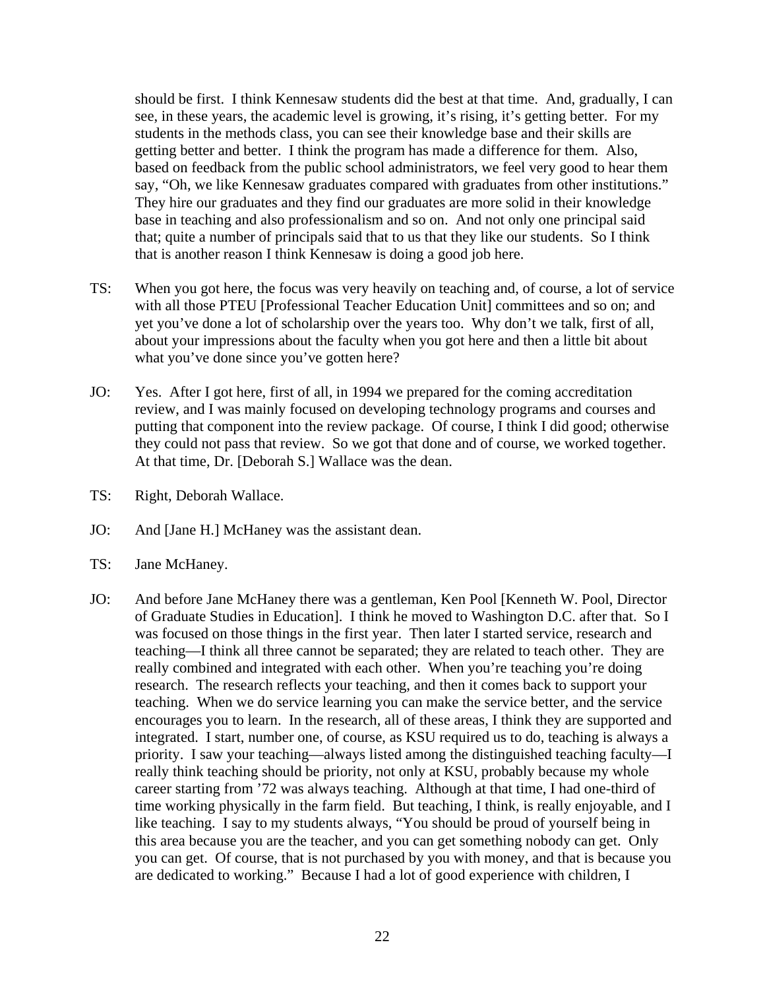should be first. I think Kennesaw students did the best at that time. And, gradually, I can see, in these years, the academic level is growing, it's rising, it's getting better. For my students in the methods class, you can see their knowledge base and their skills are getting better and better. I think the program has made a difference for them. Also, based on feedback from the public school administrators, we feel very good to hear them say, "Oh, we like Kennesaw graduates compared with graduates from other institutions." They hire our graduates and they find our graduates are more solid in their knowledge base in teaching and also professionalism and so on. And not only one principal said that; quite a number of principals said that to us that they like our students. So I think that is another reason I think Kennesaw is doing a good job here.

- TS: When you got here, the focus was very heavily on teaching and, of course, a lot of service with all those PTEU [Professional Teacher Education Unit] committees and so on; and yet you've done a lot of scholarship over the years too. Why don't we talk, first of all, about your impressions about the faculty when you got here and then a little bit about what you've done since you've gotten here?
- JO: Yes. After I got here, first of all, in 1994 we prepared for the coming accreditation review, and I was mainly focused on developing technology programs and courses and putting that component into the review package. Of course, I think I did good; otherwise they could not pass that review. So we got that done and of course, we worked together. At that time, Dr. [Deborah S.] Wallace was the dean.
- TS: Right, Deborah Wallace.
- JO: And [Jane H.] McHaney was the assistant dean.
- TS: Jane McHaney.
- JO: And before Jane McHaney there was a gentleman, Ken Pool [Kenneth W. Pool, Director of Graduate Studies in Education]. I think he moved to Washington D.C. after that. So I was focused on those things in the first year. Then later I started service, research and teaching—I think all three cannot be separated; they are related to teach other. They are really combined and integrated with each other. When you're teaching you're doing research. The research reflects your teaching, and then it comes back to support your teaching. When we do service learning you can make the service better, and the service encourages you to learn. In the research, all of these areas, I think they are supported and integrated. I start, number one, of course, as KSU required us to do, teaching is always a priority. I saw your teaching—always listed among the distinguished teaching faculty—I really think teaching should be priority, not only at KSU, probably because my whole career starting from '72 was always teaching. Although at that time, I had one-third of time working physically in the farm field. But teaching, I think, is really enjoyable, and I like teaching. I say to my students always, "You should be proud of yourself being in this area because you are the teacher, and you can get something nobody can get. Only you can get. Of course, that is not purchased by you with money, and that is because you are dedicated to working." Because I had a lot of good experience with children, I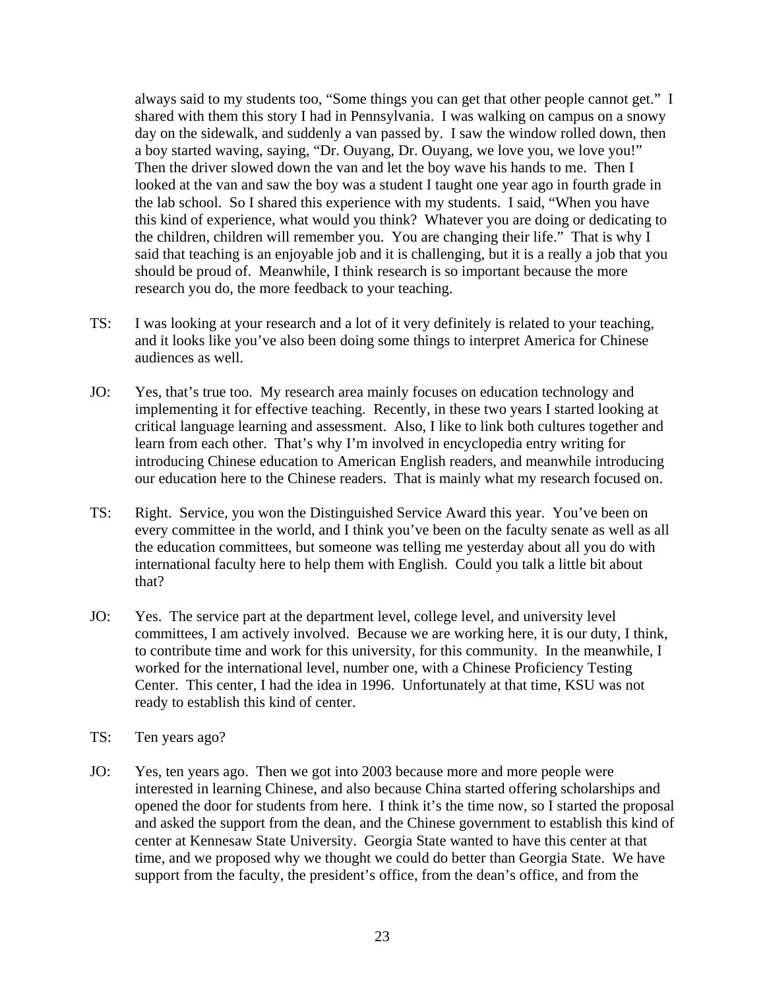always said to my students too, "Some things you can get that other people cannot get." I shared with them this story I had in Pennsylvania. I was walking on campus on a snowy day on the sidewalk, and suddenly a van passed by. I saw the window rolled down, then a boy started waving, saying, "Dr. Ouyang, Dr. Ouyang, we love you, we love you!" Then the driver slowed down the van and let the boy wave his hands to me. Then I looked at the van and saw the boy was a student I taught one year ago in fourth grade in the lab school. So I shared this experience with my students. I said, "When you have this kind of experience, what would you think? Whatever you are doing or dedicating to the children, children will remember you. You are changing their life." That is why I said that teaching is an enjoyable job and it is challenging, but it is a really a job that you should be proud of. Meanwhile, I think research is so important because the more research you do, the more feedback to your teaching.

- TS: I was looking at your research and a lot of it very definitely is related to your teaching, and it looks like you've also been doing some things to interpret America for Chinese audiences as well.
- JO: Yes, that's true too. My research area mainly focuses on education technology and implementing it for effective teaching. Recently, in these two years I started looking at critical language learning and assessment. Also, I like to link both cultures together and learn from each other. That's why I'm involved in encyclopedia entry writing for introducing Chinese education to American English readers, and meanwhile introducing our education here to the Chinese readers. That is mainly what my research focused on.
- TS: Right. Service, you won the Distinguished Service Award this year. You've been on every committee in the world, and I think you've been on the faculty senate as well as all the education committees, but someone was telling me yesterday about all you do with international faculty here to help them with English. Could you talk a little bit about that?
- JO: Yes. The service part at the department level, college level, and university level committees, I am actively involved. Because we are working here, it is our duty, I think, to contribute time and work for this university, for this community. In the meanwhile, I worked for the international level, number one, with a Chinese Proficiency Testing Center. This center, I had the idea in 1996. Unfortunately at that time, KSU was not ready to establish this kind of center.
- TS: Ten years ago?
- JO: Yes, ten years ago. Then we got into 2003 because more and more people were interested in learning Chinese, and also because China started offering scholarships and opened the door for students from here. I think it's the time now, so I started the proposal and asked the support from the dean, and the Chinese government to establish this kind of center at Kennesaw State University. Georgia State wanted to have this center at that time, and we proposed why we thought we could do better than Georgia State. We have support from the faculty, the president's office, from the dean's office, and from the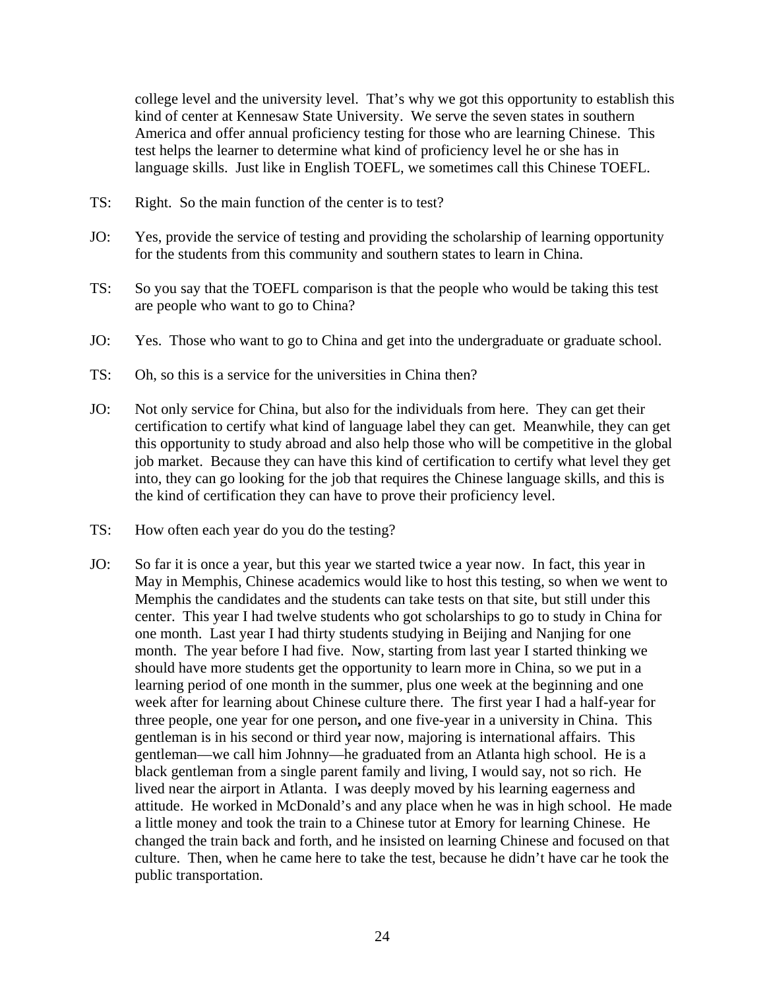college level and the university level. That's why we got this opportunity to establish this kind of center at Kennesaw State University. We serve the seven states in southern America and offer annual proficiency testing for those who are learning Chinese. This test helps the learner to determine what kind of proficiency level he or she has in language skills. Just like in English TOEFL, we sometimes call this Chinese TOEFL.

- TS: Right. So the main function of the center is to test?
- JO: Yes, provide the service of testing and providing the scholarship of learning opportunity for the students from this community and southern states to learn in China.
- TS: So you say that the TOEFL comparison is that the people who would be taking this test are people who want to go to China?
- JO: Yes. Those who want to go to China and get into the undergraduate or graduate school.
- TS: Oh, so this is a service for the universities in China then?
- JO: Not only service for China, but also for the individuals from here. They can get their certification to certify what kind of language label they can get. Meanwhile, they can get this opportunity to study abroad and also help those who will be competitive in the global job market. Because they can have this kind of certification to certify what level they get into, they can go looking for the job that requires the Chinese language skills, and this is the kind of certification they can have to prove their proficiency level.
- TS: How often each year do you do the testing?
- JO: So far it is once a year, but this year we started twice a year now. In fact, this year in May in Memphis, Chinese academics would like to host this testing, so when we went to Memphis the candidates and the students can take tests on that site, but still under this center. This year I had twelve students who got scholarships to go to study in China for one month. Last year I had thirty students studying in Beijing and Nanjing for one month. The year before I had five. Now, starting from last year I started thinking we should have more students get the opportunity to learn more in China, so we put in a learning period of one month in the summer, plus one week at the beginning and one week after for learning about Chinese culture there. The first year I had a half-year for three people, one year for one person**,** and one five-year in a university in China. This gentleman is in his second or third year now, majoring is international affairs. This gentleman—we call him Johnny—he graduated from an Atlanta high school. He is a black gentleman from a single parent family and living, I would say, not so rich. He lived near the airport in Atlanta. I was deeply moved by his learning eagerness and attitude. He worked in McDonald's and any place when he was in high school. He made a little money and took the train to a Chinese tutor at Emory for learning Chinese. He changed the train back and forth, and he insisted on learning Chinese and focused on that culture. Then, when he came here to take the test, because he didn't have car he took the public transportation.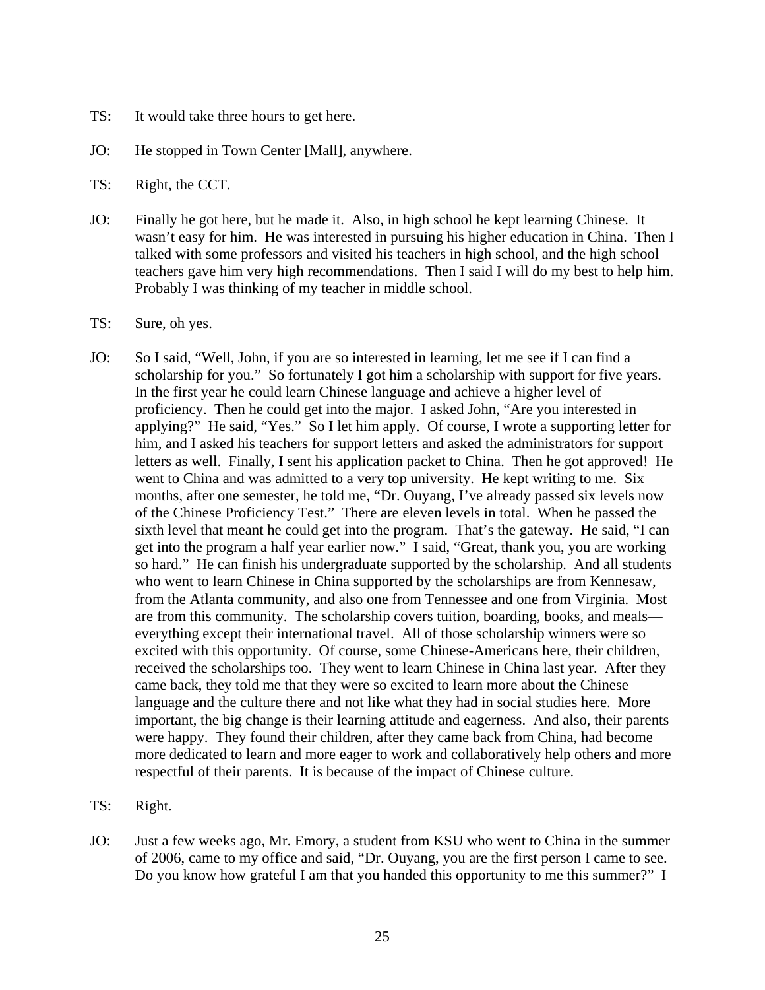- TS: It would take three hours to get here.
- JO: He stopped in Town Center [Mall], anywhere.
- TS: Right, the CCT.
- JO: Finally he got here, but he made it. Also, in high school he kept learning Chinese. It wasn't easy for him. He was interested in pursuing his higher education in China. Then I talked with some professors and visited his teachers in high school, and the high school teachers gave him very high recommendations. Then I said I will do my best to help him. Probably I was thinking of my teacher in middle school.
- TS: Sure, oh yes.
- JO: So I said, "Well, John, if you are so interested in learning, let me see if I can find a scholarship for you." So fortunately I got him a scholarship with support for five years. In the first year he could learn Chinese language and achieve a higher level of proficiency. Then he could get into the major. I asked John, "Are you interested in applying?" He said, "Yes." So I let him apply. Of course, I wrote a supporting letter for him, and I asked his teachers for support letters and asked the administrators for support letters as well. Finally, I sent his application packet to China. Then he got approved! He went to China and was admitted to a very top university. He kept writing to me. Six months, after one semester, he told me, "Dr. Ouyang, I've already passed six levels now of the Chinese Proficiency Test." There are eleven levels in total. When he passed the sixth level that meant he could get into the program. That's the gateway. He said, "I can get into the program a half year earlier now." I said, "Great, thank you, you are working so hard." He can finish his undergraduate supported by the scholarship. And all students who went to learn Chinese in China supported by the scholarships are from Kennesaw, from the Atlanta community, and also one from Tennessee and one from Virginia. Most are from this community. The scholarship covers tuition, boarding, books, and meals everything except their international travel. All of those scholarship winners were so excited with this opportunity. Of course, some Chinese-Americans here, their children, received the scholarships too. They went to learn Chinese in China last year. After they came back, they told me that they were so excited to learn more about the Chinese language and the culture there and not like what they had in social studies here. More important, the big change is their learning attitude and eagerness. And also, their parents were happy. They found their children, after they came back from China, had become more dedicated to learn and more eager to work and collaboratively help others and more respectful of their parents. It is because of the impact of Chinese culture.
- TS: Right.
- JO: Just a few weeks ago, Mr. Emory, a student from KSU who went to China in the summer of 2006, came to my office and said, "Dr. Ouyang, you are the first person I came to see. Do you know how grateful I am that you handed this opportunity to me this summer?" I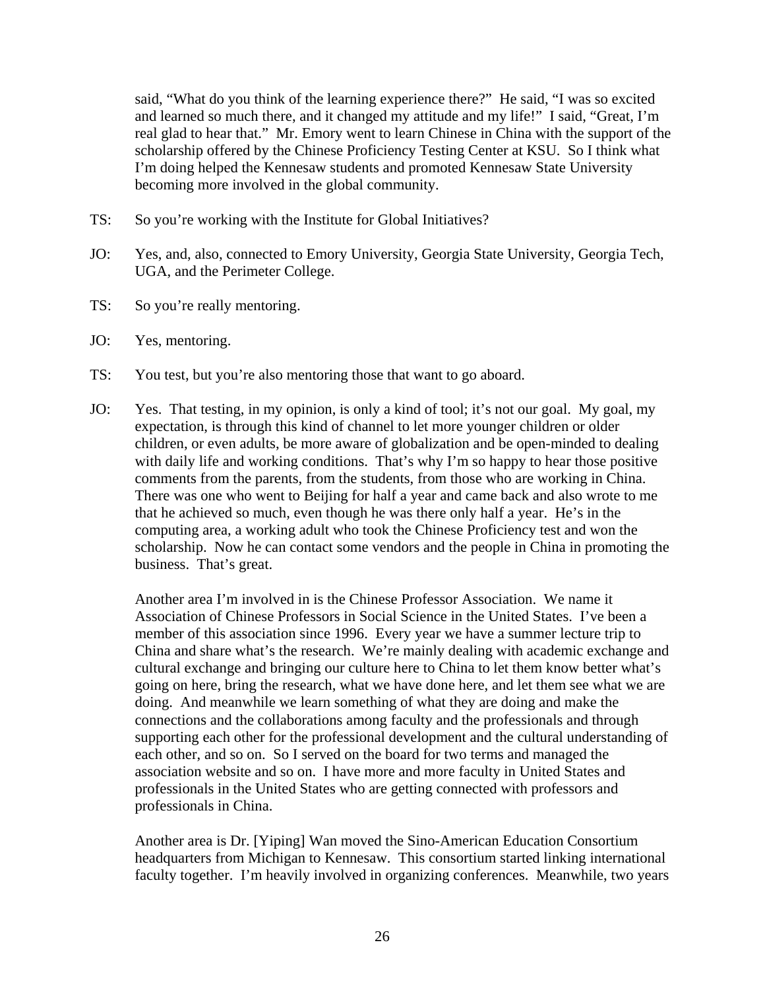said, "What do you think of the learning experience there?" He said, "I was so excited and learned so much there, and it changed my attitude and my life!" I said, "Great, I'm real glad to hear that." Mr. Emory went to learn Chinese in China with the support of the scholarship offered by the Chinese Proficiency Testing Center at KSU. So I think what I'm doing helped the Kennesaw students and promoted Kennesaw State University becoming more involved in the global community.

- TS: So you're working with the Institute for Global Initiatives?
- JO: Yes, and, also, connected to Emory University, Georgia State University, Georgia Tech, UGA, and the Perimeter College.
- TS: So you're really mentoring.
- JO: Yes, mentoring.
- TS: You test, but you're also mentoring those that want to go aboard.
- JO: Yes. That testing, in my opinion, is only a kind of tool; it's not our goal. My goal, my expectation, is through this kind of channel to let more younger children or older children, or even adults, be more aware of globalization and be open-minded to dealing with daily life and working conditions. That's why I'm so happy to hear those positive comments from the parents, from the students, from those who are working in China. There was one who went to Beijing for half a year and came back and also wrote to me that he achieved so much, even though he was there only half a year. He's in the computing area, a working adult who took the Chinese Proficiency test and won the scholarship. Now he can contact some vendors and the people in China in promoting the business. That's great.

Another area I'm involved in is the Chinese Professor Association. We name it Association of Chinese Professors in Social Science in the United States. I've been a member of this association since 1996. Every year we have a summer lecture trip to China and share what's the research. We're mainly dealing with academic exchange and cultural exchange and bringing our culture here to China to let them know better what's going on here, bring the research, what we have done here, and let them see what we are doing. And meanwhile we learn something of what they are doing and make the connections and the collaborations among faculty and the professionals and through supporting each other for the professional development and the cultural understanding of each other, and so on. So I served on the board for two terms and managed the association website and so on. I have more and more faculty in United States and professionals in the United States who are getting connected with professors and professionals in China.

Another area is Dr. [Yiping] Wan moved the Sino-American Education Consortium headquarters from Michigan to Kennesaw. This consortium started linking international faculty together. I'm heavily involved in organizing conferences. Meanwhile, two years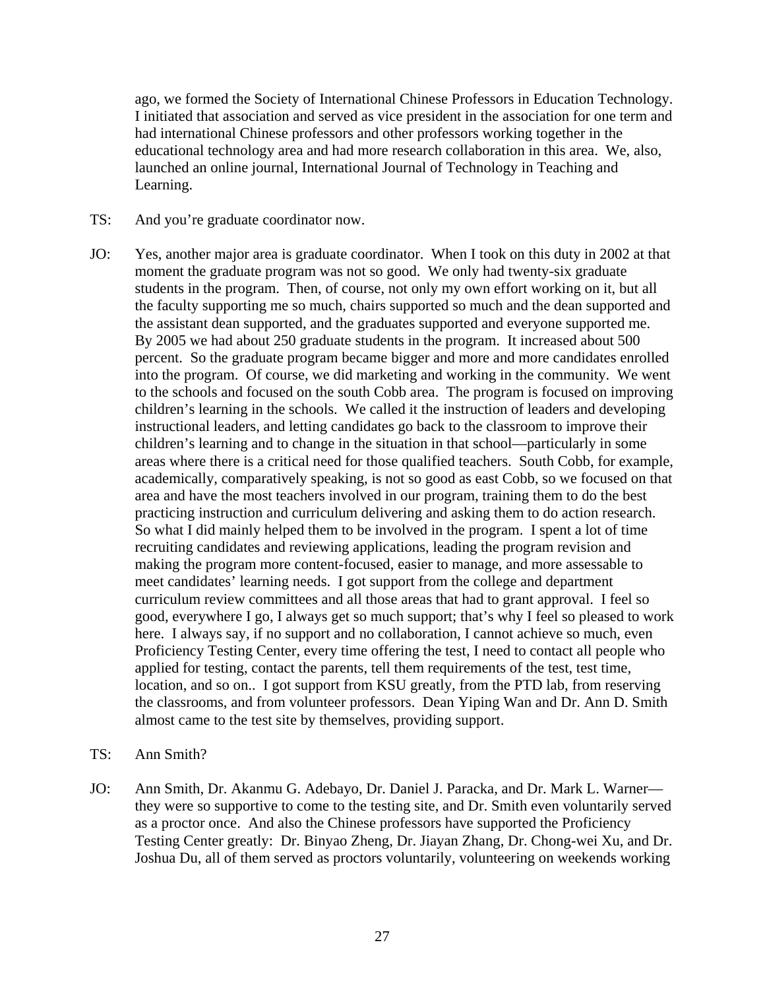ago, we formed the Society of International Chinese Professors in Education Technology. I initiated that association and served as vice president in the association for one term and had international Chinese professors and other professors working together in the educational technology area and had more research collaboration in this area. We, also, launched an online journal, International Journal of Technology in Teaching and Learning.

- TS: And you're graduate coordinator now.
- JO: Yes, another major area is graduate coordinator. When I took on this duty in 2002 at that moment the graduate program was not so good. We only had twenty-six graduate students in the program. Then, of course, not only my own effort working on it, but all the faculty supporting me so much, chairs supported so much and the dean supported and the assistant dean supported, and the graduates supported and everyone supported me. By 2005 we had about 250 graduate students in the program. It increased about 500 percent. So the graduate program became bigger and more and more candidates enrolled into the program. Of course, we did marketing and working in the community. We went to the schools and focused on the south Cobb area. The program is focused on improving children's learning in the schools. We called it the instruction of leaders and developing instructional leaders, and letting candidates go back to the classroom to improve their children's learning and to change in the situation in that school—particularly in some areas where there is a critical need for those qualified teachers. South Cobb, for example, academically, comparatively speaking, is not so good as east Cobb, so we focused on that area and have the most teachers involved in our program, training them to do the best practicing instruction and curriculum delivering and asking them to do action research. So what I did mainly helped them to be involved in the program. I spent a lot of time recruiting candidates and reviewing applications, leading the program revision and making the program more content-focused, easier to manage, and more assessable to meet candidates' learning needs. I got support from the college and department curriculum review committees and all those areas that had to grant approval. I feel so good, everywhere I go, I always get so much support; that's why I feel so pleased to work here. I always say, if no support and no collaboration, I cannot achieve so much, even Proficiency Testing Center, every time offering the test, I need to contact all people who applied for testing, contact the parents, tell them requirements of the test, test time, location, and so on.. I got support from KSU greatly, from the PTD lab, from reserving the classrooms, and from volunteer professors. Dean Yiping Wan and Dr. Ann D. Smith almost came to the test site by themselves, providing support.
- TS: Ann Smith?
- JO: Ann Smith, Dr. Akanmu G. Adebayo, Dr. Daniel J. Paracka, and Dr. Mark L. Warner they were so supportive to come to the testing site, and Dr. Smith even voluntarily served as a proctor once. And also the Chinese professors have supported the Proficiency Testing Center greatly: Dr. Binyao Zheng, Dr. Jiayan Zhang, Dr. Chong-wei Xu, and Dr. Joshua Du, all of them served as proctors voluntarily, volunteering on weekends working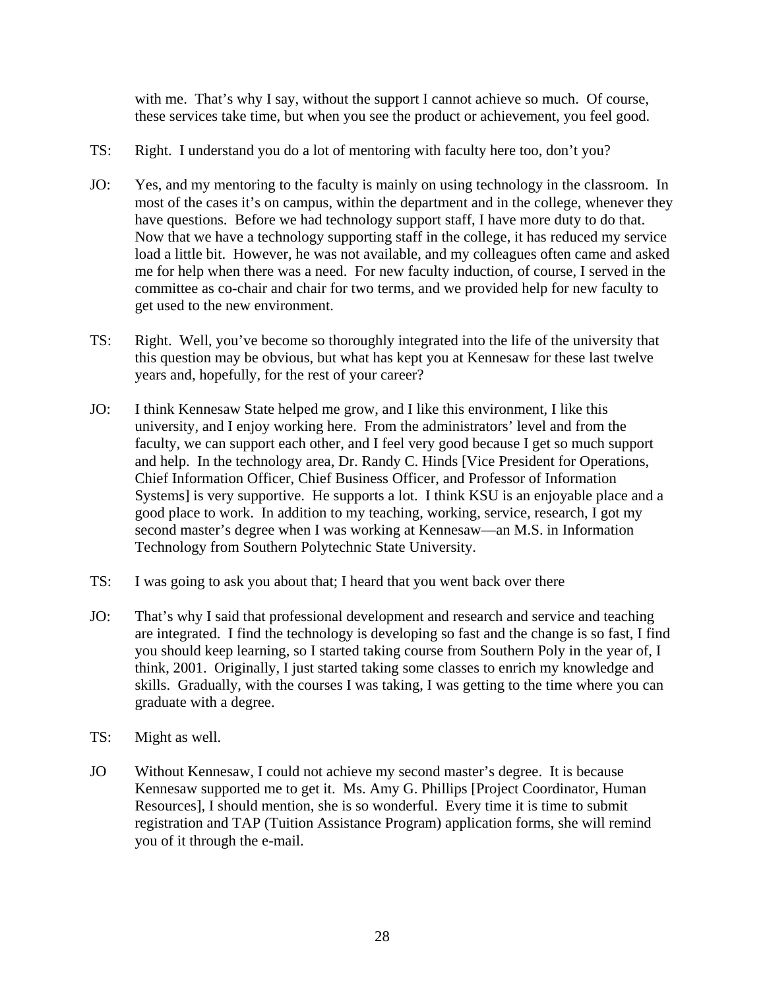with me. That's why I say, without the support I cannot achieve so much. Of course, these services take time, but when you see the product or achievement, you feel good.

- TS: Right. I understand you do a lot of mentoring with faculty here too, don't you?
- JO: Yes, and my mentoring to the faculty is mainly on using technology in the classroom. In most of the cases it's on campus, within the department and in the college, whenever they have questions. Before we had technology support staff, I have more duty to do that. Now that we have a technology supporting staff in the college, it has reduced my service load a little bit. However, he was not available, and my colleagues often came and asked me for help when there was a need. For new faculty induction, of course, I served in the committee as co-chair and chair for two terms, and we provided help for new faculty to get used to the new environment.
- TS: Right. Well, you've become so thoroughly integrated into the life of the university that this question may be obvious, but what has kept you at Kennesaw for these last twelve years and, hopefully, for the rest of your career?
- JO: I think Kennesaw State helped me grow, and I like this environment, I like this university, and I enjoy working here. From the administrators' level and from the faculty, we can support each other, and I feel very good because I get so much support and help. In the technology area, Dr. Randy C. Hinds [Vice President for Operations, Chief Information Officer, Chief Business Officer, and Professor of Information Systems] is very supportive. He supports a lot. I think KSU is an enjoyable place and a good place to work. In addition to my teaching, working, service, research, I got my second master's degree when I was working at Kennesaw—an M.S. in Information Technology from Southern Polytechnic State University.
- TS: I was going to ask you about that; I heard that you went back over there
- JO: That's why I said that professional development and research and service and teaching are integrated. I find the technology is developing so fast and the change is so fast, I find you should keep learning, so I started taking course from Southern Poly in the year of, I think, 2001. Originally, I just started taking some classes to enrich my knowledge and skills. Gradually, with the courses I was taking, I was getting to the time where you can graduate with a degree.
- TS: Might as well.
- JO Without Kennesaw, I could not achieve my second master's degree. It is because Kennesaw supported me to get it. Ms. Amy G. Phillips [Project Coordinator, Human Resources], I should mention, she is so wonderful. Every time it is time to submit registration and TAP (Tuition Assistance Program) application forms, she will remind you of it through the e-mail.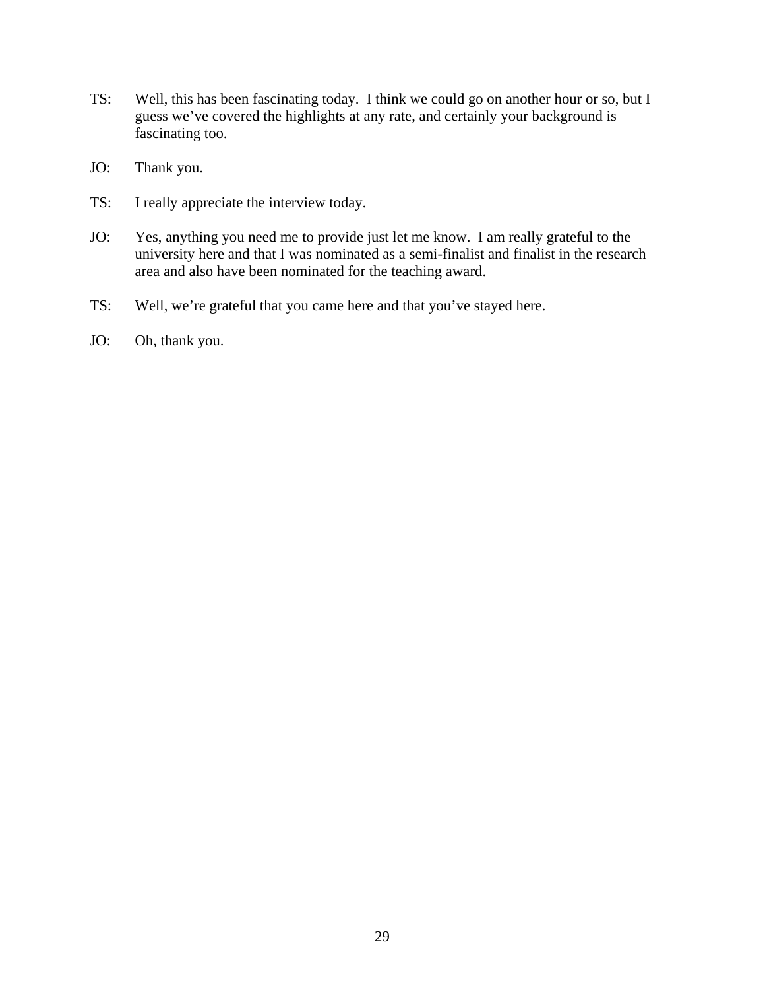- TS: Well, this has been fascinating today. I think we could go on another hour or so, but I guess we've covered the highlights at any rate, and certainly your background is fascinating too.
- JO: Thank you.
- TS: I really appreciate the interview today.
- JO: Yes, anything you need me to provide just let me know. I am really grateful to the university here and that I was nominated as a semi-finalist and finalist in the research area and also have been nominated for the teaching award.
- TS: Well, we're grateful that you came here and that you've stayed here.
- JO: Oh, thank you.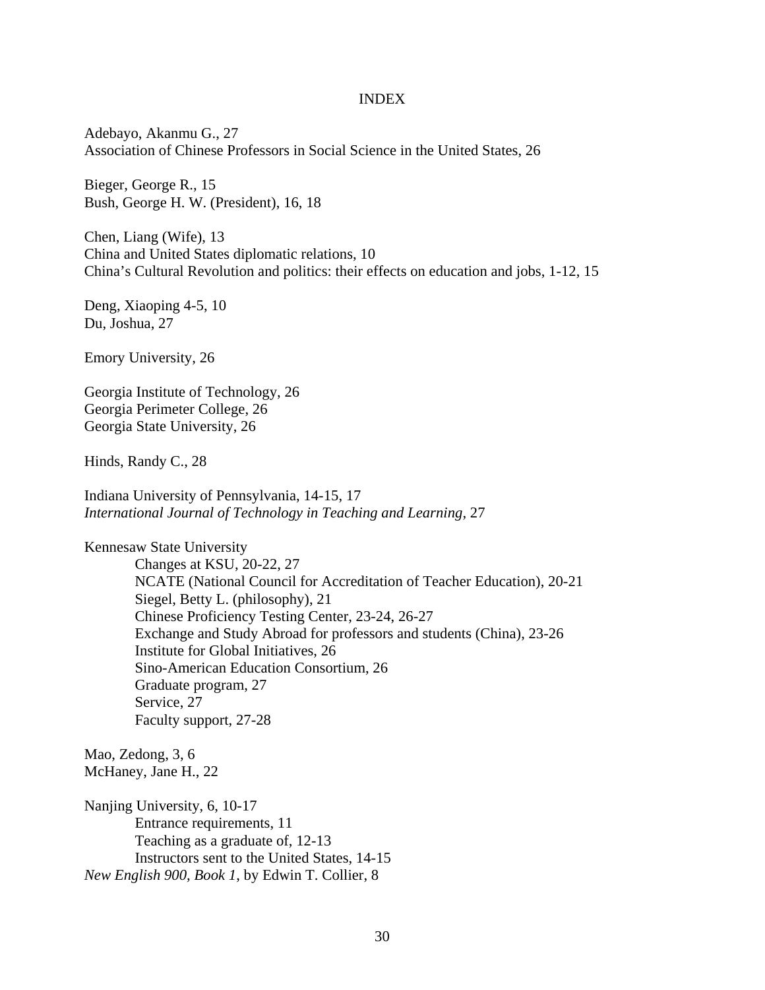## INDEX

Adebayo, Akanmu G., 27 Association of Chinese Professors in Social Science in the United States, 26

Bieger, George R., 15 Bush, George H. W. (President), 16, 18

Chen, Liang (Wife), 13 China and United States diplomatic relations, 10 China's Cultural Revolution and politics: their effects on education and jobs, 1-12, 15

Deng, Xiaoping 4-5, 10 Du, Joshua, 27

Emory University, 26

Georgia Institute of Technology, 26 Georgia Perimeter College, 26 Georgia State University, 26

Hinds, Randy C., 28

Indiana University of Pennsylvania, 14-15, 17 *International Journal of Technology in Teaching and Learning*, 27

Kennesaw State University Changes at KSU, 20-22, 27 NCATE (National Council for Accreditation of Teacher Education), 20-21 Siegel, Betty L. (philosophy), 21 Chinese Proficiency Testing Center, 23-24, 26-27 Exchange and Study Abroad for professors and students (China), 23-26 Institute for Global Initiatives, 26 Sino-American Education Consortium, 26 Graduate program, 27 Service, 27 Faculty support, 27-28

Mao, Zedong, 3, 6 McHaney, Jane H., 22

Nanjing University, 6, 10-17 Entrance requirements, 11 Teaching as a graduate of, 12-13 Instructors sent to the United States, 14-15 *New English 900, Book 1*, by Edwin T. Collier, 8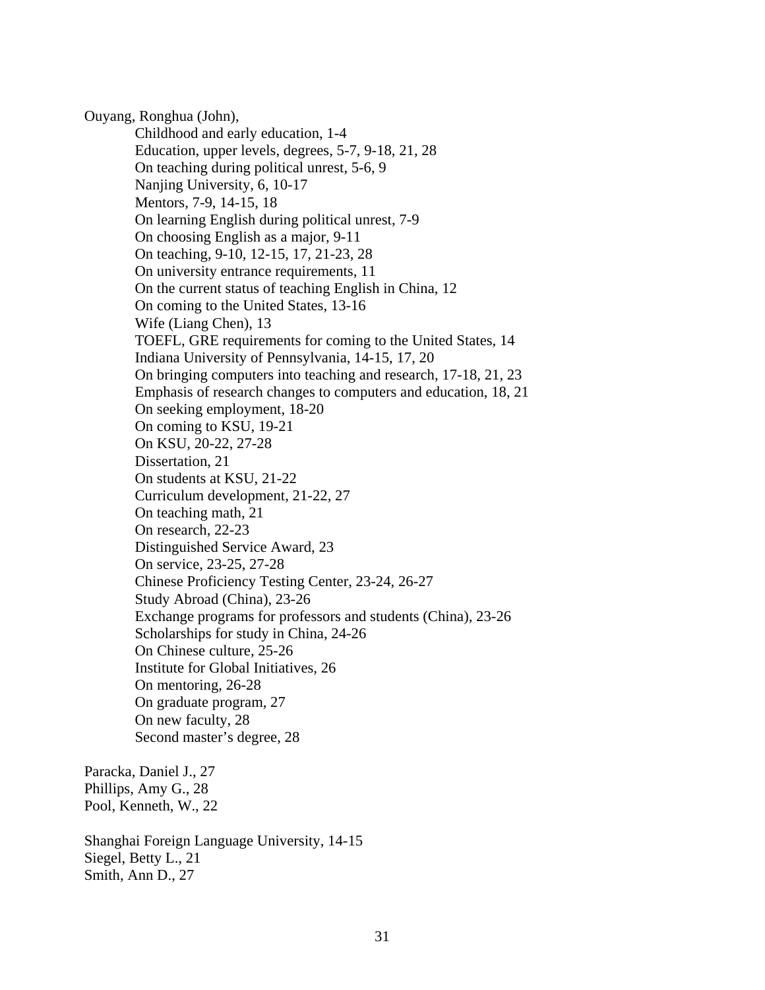Ouyang, Ronghua (John),

Childhood and early education, 1-4 Education, upper levels, degrees, 5-7, 9-18, 21, 28 On teaching during political unrest, 5-6, 9 Nanjing University, 6, 10-17 Mentors, 7-9, 14-15, 18 On learning English during political unrest, 7-9 On choosing English as a major, 9-11 On teaching, 9-10, 12-15, 17, 21-23, 28 On university entrance requirements, 11 On the current status of teaching English in China, 12 On coming to the United States, 13-16 Wife (Liang Chen), 13 TOEFL, GRE requirements for coming to the United States, 14 Indiana University of Pennsylvania, 14-15, 17, 20 On bringing computers into teaching and research, 17-18, 21, 23 Emphasis of research changes to computers and education, 18, 21 On seeking employment, 18-20 On coming to KSU, 19-21 On KSU, 20-22, 27-28 Dissertation, 21 On students at KSU, 21-22 Curriculum development, 21-22, 27 On teaching math, 21 On research, 22-23 Distinguished Service Award, 23 On service, 23-25, 27-28 Chinese Proficiency Testing Center, 23-24, 26-27 Study Abroad (China), 23-26 Exchange programs for professors and students (China), 23-26 Scholarships for study in China, 24-26 On Chinese culture, 25-26 Institute for Global Initiatives, 26 On mentoring, 26-28 On graduate program, 27 On new faculty, 28 Second master's degree, 28

Paracka, Daniel J., 27 Phillips, Amy G., 28 Pool, Kenneth, W., 22

Shanghai Foreign Language University, 14-15 Siegel, Betty L., 21 Smith, Ann D., 27